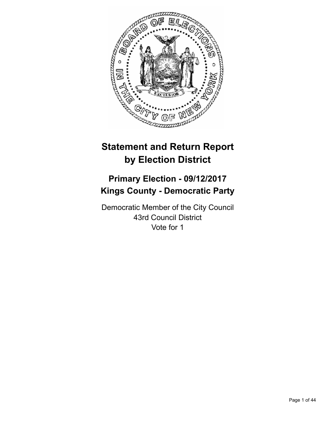

# **Statement and Return Report by Election District**

# **Primary Election - 09/12/2017 Kings County - Democratic Party**

Democratic Member of the City Council 43rd Council District Vote for 1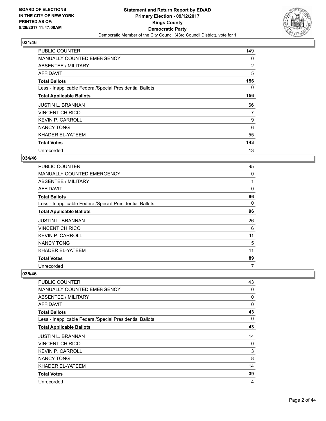

| <b>PUBLIC COUNTER</b>                                    | 149            |
|----------------------------------------------------------|----------------|
| <b>MANUALLY COUNTED EMERGENCY</b>                        | 0              |
| ABSENTEE / MILITARY                                      | $\overline{2}$ |
| AFFIDAVIT                                                | 5              |
| <b>Total Ballots</b>                                     | 156            |
| Less - Inapplicable Federal/Special Presidential Ballots | 0              |
| <b>Total Applicable Ballots</b>                          | 156            |
| <b>JUSTIN L. BRANNAN</b>                                 | 66             |
| VINCENT CHIRICO                                          | 7              |
| <b>KEVIN P. CARROLL</b>                                  | 9              |
| <b>NANCY TONG</b>                                        | 6              |
| KHADER EL-YATEEM                                         | 55             |
| <b>Total Votes</b>                                       | 143            |
| Unrecorded                                               | 13             |

## **034/46**

| <b>PUBLIC COUNTER</b>                                    | 95       |
|----------------------------------------------------------|----------|
| <b>MANUALLY COUNTED EMERGENCY</b>                        | 0        |
| <b>ABSENTEE / MILITARY</b>                               |          |
| <b>AFFIDAVIT</b>                                         | $\Omega$ |
| <b>Total Ballots</b>                                     | 96       |
| Less - Inapplicable Federal/Special Presidential Ballots | 0        |
| <b>Total Applicable Ballots</b>                          | 96       |
| <b>JUSTIN L. BRANNAN</b>                                 | 26       |
| <b>VINCENT CHIRICO</b>                                   | 6        |
| <b>KEVIN P. CARROLL</b>                                  | 11       |
| <b>NANCY TONG</b>                                        | 5        |
| KHADER EL-YATEEM                                         | 41       |
| <b>Total Votes</b>                                       | 89       |
| Unrecorded                                               | 7        |

| <b>PUBLIC COUNTER</b>                                    | 43 |
|----------------------------------------------------------|----|
| <b>MANUALLY COUNTED EMERGENCY</b>                        | 0  |
| <b>ABSENTEE / MILITARY</b>                               | 0  |
| <b>AFFIDAVIT</b>                                         | 0  |
| <b>Total Ballots</b>                                     | 43 |
| Less - Inapplicable Federal/Special Presidential Ballots | 0  |
| <b>Total Applicable Ballots</b>                          | 43 |
| <b>JUSTIN L. BRANNAN</b>                                 | 14 |
| <b>VINCENT CHIRICO</b>                                   | 0  |
| <b>KEVIN P. CARROLL</b>                                  | 3  |
| <b>NANCY TONG</b>                                        | 8  |
| KHADER EL-YATEEM                                         | 14 |
| <b>Total Votes</b>                                       | 39 |
| Unrecorded                                               | 4  |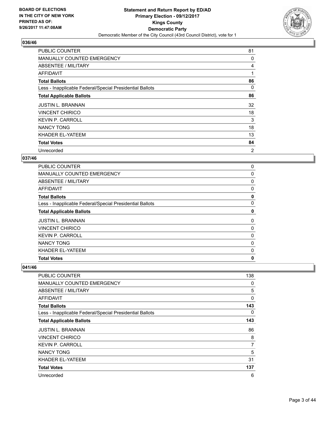

| <b>PUBLIC COUNTER</b>                                    | 81             |
|----------------------------------------------------------|----------------|
| <b>MANUALLY COUNTED EMERGENCY</b>                        | 0              |
| ABSENTEE / MILITARY                                      | 4              |
| AFFIDAVIT                                                | 1              |
| <b>Total Ballots</b>                                     | 86             |
| Less - Inapplicable Federal/Special Presidential Ballots | 0              |
| <b>Total Applicable Ballots</b>                          | 86             |
| <b>JUSTIN L. BRANNAN</b>                                 | 32             |
| <b>VINCENT CHIRICO</b>                                   | 18             |
| <b>KEVIN P. CARROLL</b>                                  | 3              |
| <b>NANCY TONG</b>                                        | 18             |
| KHADER EL-YATEEM                                         | 13             |
| <b>Total Votes</b>                                       | 84             |
| Unrecorded                                               | $\overline{2}$ |

## **037/46**

| <b>Total Votes</b>                                       | 0 |
|----------------------------------------------------------|---|
| KHADER EL-YATEEM                                         | 0 |
| <b>NANCY TONG</b>                                        | 0 |
| <b>KEVIN P. CARROLL</b>                                  | 0 |
| <b>VINCENT CHIRICO</b>                                   | 0 |
| <b>JUSTIN L. BRANNAN</b>                                 | 0 |
| <b>Total Applicable Ballots</b>                          | 0 |
| Less - Inapplicable Federal/Special Presidential Ballots | 0 |
| <b>Total Ballots</b>                                     | 0 |
| AFFIDAVIT                                                | 0 |
| ABSENTEE / MILITARY                                      | 0 |
| <b>MANUALLY COUNTED EMERGENCY</b>                        | 0 |
| PUBLIC COUNTER                                           | 0 |

| PUBLIC COUNTER                                           | 138 |
|----------------------------------------------------------|-----|
| <b>MANUALLY COUNTED EMERGENCY</b>                        | 0   |
| ABSENTEE / MILITARY                                      | 5   |
| AFFIDAVIT                                                | 0   |
| <b>Total Ballots</b>                                     | 143 |
| Less - Inapplicable Federal/Special Presidential Ballots | 0   |
| <b>Total Applicable Ballots</b>                          | 143 |
| <b>JUSTIN L. BRANNAN</b>                                 | 86  |
| <b>VINCENT CHIRICO</b>                                   | 8   |
| <b>KEVIN P. CARROLL</b>                                  | 7   |
| <b>NANCY TONG</b>                                        | 5   |
| KHADER EL-YATEEM                                         | 31  |
| <b>Total Votes</b>                                       | 137 |
| Unrecorded                                               | 6   |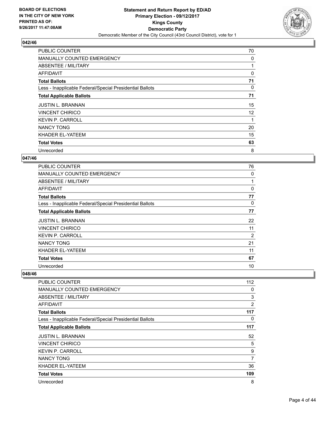

| <b>PUBLIC COUNTER</b>                                    | 70 |
|----------------------------------------------------------|----|
| <b>MANUALLY COUNTED EMERGENCY</b>                        | 0  |
| ABSENTEE / MILITARY                                      |    |
| AFFIDAVIT                                                | 0  |
| <b>Total Ballots</b>                                     | 71 |
| Less - Inapplicable Federal/Special Presidential Ballots | 0  |
| <b>Total Applicable Ballots</b>                          | 71 |
| <b>JUSTIN L. BRANNAN</b>                                 | 15 |
| <b>VINCENT CHIRICO</b>                                   | 12 |
| <b>KEVIN P. CARROLL</b>                                  |    |
| <b>NANCY TONG</b>                                        | 20 |
| KHADER EL-YATEEM                                         | 15 |
| <b>Total Votes</b>                                       | 63 |
| Unrecorded                                               | 8  |

#### **047/46**

| <b>PUBLIC COUNTER</b>                                    | 76       |
|----------------------------------------------------------|----------|
| <b>MANUALLY COUNTED EMERGENCY</b>                        | 0        |
| ABSENTEE / MILITARY                                      | 1        |
| <b>AFFIDAVIT</b>                                         | $\Omega$ |
| <b>Total Ballots</b>                                     | 77       |
| Less - Inapplicable Federal/Special Presidential Ballots | 0        |
| <b>Total Applicable Ballots</b>                          | 77       |
| <b>JUSTIN L. BRANNAN</b>                                 | 22       |
| <b>VINCENT CHIRICO</b>                                   | 11       |
| <b>KEVIN P. CARROLL</b>                                  | 2        |
| <b>NANCY TONG</b>                                        | 21       |
| KHADER EL-YATEEM                                         | 11       |
| <b>Total Votes</b>                                       | 67       |
| Unrecorded                                               | 10       |

| <b>PUBLIC COUNTER</b>                                    | 112 |
|----------------------------------------------------------|-----|
| <b>MANUALLY COUNTED EMERGENCY</b>                        | 0   |
| <b>ABSENTEE / MILITARY</b>                               | 3   |
| <b>AFFIDAVIT</b>                                         | 2   |
| <b>Total Ballots</b>                                     | 117 |
| Less - Inapplicable Federal/Special Presidential Ballots | 0   |
| <b>Total Applicable Ballots</b>                          | 117 |
| <b>JUSTIN L. BRANNAN</b>                                 | 52  |
| <b>VINCENT CHIRICO</b>                                   | 5   |
| <b>KEVIN P. CARROLL</b>                                  | 9   |
| <b>NANCY TONG</b>                                        | 7   |
| KHADER EL-YATEEM                                         | 36  |
| <b>Total Votes</b>                                       | 109 |
| Unrecorded                                               | 8   |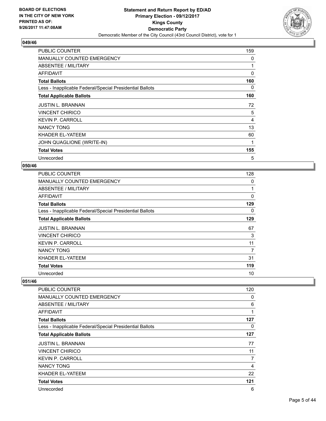

| PUBLIC COUNTER                                           | 159 |
|----------------------------------------------------------|-----|
| <b>MANUALLY COUNTED EMERGENCY</b>                        | 0   |
| ABSENTEE / MILITARY                                      | 1   |
| AFFIDAVIT                                                | 0   |
| <b>Total Ballots</b>                                     | 160 |
| Less - Inapplicable Federal/Special Presidential Ballots | 0   |
| <b>Total Applicable Ballots</b>                          | 160 |
| <b>JUSTIN L. BRANNAN</b>                                 | 72  |
| <b>VINCENT CHIRICO</b>                                   | 5   |
| <b>KEVIN P. CARROLL</b>                                  | 4   |
| <b>NANCY TONG</b>                                        | 13  |
| KHADER EL-YATEEM                                         | 60  |
| JOHN QUAGLIONE (WRITE-IN)                                | 1   |
| <b>Total Votes</b>                                       | 155 |
| Unrecorded                                               | 5   |

#### **050/46**

| <b>PUBLIC COUNTER</b>                                    | 128 |
|----------------------------------------------------------|-----|
| MANUALLY COUNTED EMERGENCY                               | 0   |
| ABSENTEE / MILITARY                                      | 1   |
| AFFIDAVIT                                                | 0   |
| <b>Total Ballots</b>                                     | 129 |
| Less - Inapplicable Federal/Special Presidential Ballots | 0   |
| <b>Total Applicable Ballots</b>                          | 129 |
| <b>JUSTIN L. BRANNAN</b>                                 | 67  |
| <b>VINCENT CHIRICO</b>                                   | 3   |
| <b>KEVIN P. CARROLL</b>                                  | 11  |
| <b>NANCY TONG</b>                                        | 7   |
| KHADER EL-YATEEM                                         | 31  |
| <b>Total Votes</b>                                       | 119 |
| Unrecorded                                               | 10  |

| PUBLIC COUNTER                                           | 120 |
|----------------------------------------------------------|-----|
| MANUALLY COUNTED EMERGENCY                               | 0   |
| ABSENTEE / MILITARY                                      | 6   |
| <b>AFFIDAVIT</b>                                         | 1   |
| <b>Total Ballots</b>                                     | 127 |
| Less - Inapplicable Federal/Special Presidential Ballots | 0   |
| <b>Total Applicable Ballots</b>                          | 127 |
| <b>JUSTIN L. BRANNAN</b>                                 | 77  |
| <b>VINCENT CHIRICO</b>                                   | 11  |
| <b>KEVIN P. CARROLL</b>                                  | 7   |
| <b>NANCY TONG</b>                                        | 4   |
| KHADER EL-YATEEM                                         | 22  |
| <b>Total Votes</b>                                       | 121 |
| Unrecorded                                               | 6   |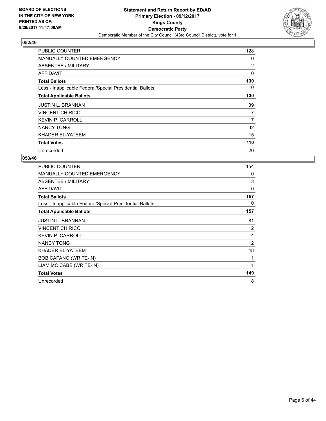

| <b>PUBLIC COUNTER</b>                                    | 128 |
|----------------------------------------------------------|-----|
| <b>MANUALLY COUNTED EMERGENCY</b>                        | 0   |
| ABSENTEE / MILITARY                                      | 2   |
| AFFIDAVIT                                                | 0   |
| <b>Total Ballots</b>                                     | 130 |
| Less - Inapplicable Federal/Special Presidential Ballots | 0   |
| <b>Total Applicable Ballots</b>                          | 130 |
| <b>JUSTIN L. BRANNAN</b>                                 | 39  |
|                                                          |     |
| <b>VINCENT CHIRICO</b>                                   | 7   |
| <b>KEVIN P. CARROLL</b>                                  | 17  |
| <b>NANCY TONG</b>                                        | 32  |
| KHADER EL-YATEEM                                         | 15  |
| <b>Total Votes</b>                                       | 110 |

| <b>PUBLIC COUNTER</b>                                    | 154      |
|----------------------------------------------------------|----------|
| <b>MANUALLY COUNTED EMERGENCY</b>                        | 0        |
| ABSENTEE / MILITARY                                      | 3        |
| <b>AFFIDAVIT</b>                                         | $\Omega$ |
| <b>Total Ballots</b>                                     | 157      |
| Less - Inapplicable Federal/Special Presidential Ballots | 0        |
| <b>Total Applicable Ballots</b>                          | 157      |
| <b>JUSTIN L. BRANNAN</b>                                 | 81       |
| <b>VINCENT CHIRICO</b>                                   | 2        |
| <b>KEVIN P. CARROLL</b>                                  | 4        |
| <b>NANCY TONG</b>                                        | 12       |
| KHADER EL-YATEEM                                         | 48       |
| BOB CAPANO (WRITE-IN)                                    | 1        |
| LIAM MC CABE (WRITE-IN)                                  | 1        |
| <b>Total Votes</b>                                       | 149      |
| Unrecorded                                               | 8        |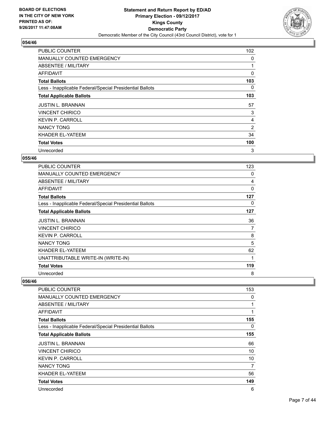

| <b>PUBLIC COUNTER</b>                                    | 102 |
|----------------------------------------------------------|-----|
| <b>MANUALLY COUNTED EMERGENCY</b>                        | 0   |
| ABSENTEE / MILITARY                                      |     |
| AFFIDAVIT                                                | 0   |
| <b>Total Ballots</b>                                     | 103 |
| Less - Inapplicable Federal/Special Presidential Ballots | 0   |
| <b>Total Applicable Ballots</b>                          | 103 |
| <b>JUSTIN L. BRANNAN</b>                                 | 57  |
| <b>VINCENT CHIRICO</b>                                   | 3   |
| <b>KEVIN P. CARROLL</b>                                  | 4   |
| <b>NANCY TONG</b>                                        | 2   |
|                                                          |     |
| KHADER EL-YATEEM                                         | 34  |
| <b>Total Votes</b>                                       | 100 |

## **055/46**

| <b>PUBLIC COUNTER</b>                                    | 123 |
|----------------------------------------------------------|-----|
| MANUALLY COUNTED EMERGENCY                               | 0   |
| ABSENTEE / MILITARY                                      | 4   |
| AFFIDAVIT                                                | 0   |
| <b>Total Ballots</b>                                     | 127 |
| Less - Inapplicable Federal/Special Presidential Ballots | 0   |
| <b>Total Applicable Ballots</b>                          | 127 |
| <b>JUSTIN L. BRANNAN</b>                                 | 36  |
| <b>VINCENT CHIRICO</b>                                   | 7   |
| <b>KEVIN P. CARROLL</b>                                  | 8   |
| <b>NANCY TONG</b>                                        | 5   |
| KHADER EL-YATEEM                                         | 62  |
| UNATTRIBUTABLE WRITE-IN (WRITE-IN)                       | 1   |
| <b>Total Votes</b>                                       | 119 |
| Unrecorded                                               | 8   |

| <b>PUBLIC COUNTER</b>                                    | 153 |
|----------------------------------------------------------|-----|
| <b>MANUALLY COUNTED EMERGENCY</b>                        | 0   |
| ABSENTEE / MILITARY                                      | 1   |
| AFFIDAVIT                                                | 1   |
| <b>Total Ballots</b>                                     | 155 |
| Less - Inapplicable Federal/Special Presidential Ballots | 0   |
| <b>Total Applicable Ballots</b>                          | 155 |
| <b>JUSTIN L. BRANNAN</b>                                 | 66  |
| <b>VINCENT CHIRICO</b>                                   | 10  |
| <b>KEVIN P. CARROLL</b>                                  | 10  |
| <b>NANCY TONG</b>                                        | 7   |
| KHADER EL-YATEEM                                         | 56  |
| <b>Total Votes</b>                                       | 149 |
| Unrecorded                                               | 6   |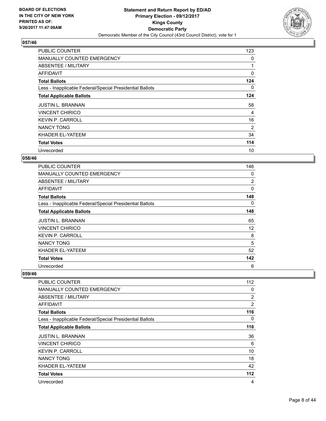

| PUBLIC COUNTER                                           | 123            |
|----------------------------------------------------------|----------------|
| <b>MANUALLY COUNTED EMERGENCY</b>                        | 0              |
| ABSENTEE / MILITARY                                      |                |
| AFFIDAVIT                                                | 0              |
| <b>Total Ballots</b>                                     | 124            |
| Less - Inapplicable Federal/Special Presidential Ballots | 0              |
| <b>Total Applicable Ballots</b>                          | 124            |
| <b>JUSTIN L. BRANNAN</b>                                 | 58             |
|                                                          |                |
| <b>VINCENT CHIRICO</b>                                   | 4              |
| <b>KEVIN P. CARROLL</b>                                  | 16             |
| <b>NANCY TONG</b>                                        | $\overline{2}$ |
| KHADER EL-YATEEM                                         | 34             |
| <b>Total Votes</b>                                       | 114            |

## **058/46**

| <b>PUBLIC COUNTER</b>                                    | 146 |
|----------------------------------------------------------|-----|
| <b>MANUALLY COUNTED EMERGENCY</b>                        | 0   |
| <b>ABSENTEE / MILITARY</b>                               | 2   |
| AFFIDAVIT                                                | 0   |
| <b>Total Ballots</b>                                     | 148 |
| Less - Inapplicable Federal/Special Presidential Ballots | 0   |
| <b>Total Applicable Ballots</b>                          | 148 |
| <b>JUSTIN L. BRANNAN</b>                                 | 65  |
| <b>VINCENT CHIRICO</b>                                   | 12  |
| <b>KEVIN P. CARROLL</b>                                  | 8   |
| <b>NANCY TONG</b>                                        | 5   |
| KHADER EL-YATEEM                                         | 52  |
| <b>Total Votes</b>                                       | 142 |
| Unrecorded                                               | 6   |

| <b>PUBLIC COUNTER</b>                                    | 112            |
|----------------------------------------------------------|----------------|
| <b>MANUALLY COUNTED EMERGENCY</b>                        | 0              |
| <b>ABSENTEE / MILITARY</b>                               | $\overline{2}$ |
| <b>AFFIDAVIT</b>                                         | 2              |
| <b>Total Ballots</b>                                     | 116            |
| Less - Inapplicable Federal/Special Presidential Ballots | 0              |
| <b>Total Applicable Ballots</b>                          | 116            |
| <b>JUSTIN L. BRANNAN</b>                                 | 36             |
| <b>VINCENT CHIRICO</b>                                   | 6              |
| <b>KEVIN P. CARROLL</b>                                  | 10             |
| <b>NANCY TONG</b>                                        | 18             |
| KHADER EL-YATEEM                                         | 42             |
| <b>Total Votes</b>                                       | 112            |
| Unrecorded                                               | 4              |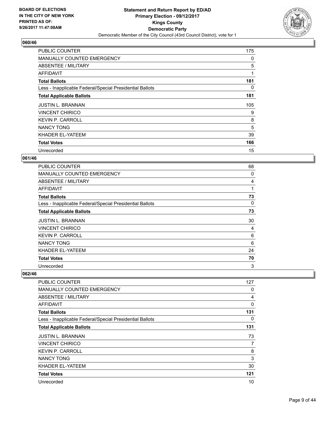

| <b>PUBLIC COUNTER</b>                                    | 175 |
|----------------------------------------------------------|-----|
| <b>MANUALLY COUNTED EMERGENCY</b>                        | 0   |
| ABSENTEE / MILITARY                                      | 5   |
| AFFIDAVIT                                                | 1   |
| <b>Total Ballots</b>                                     | 181 |
| Less - Inapplicable Federal/Special Presidential Ballots | 0   |
| <b>Total Applicable Ballots</b>                          | 181 |
| <b>JUSTIN L. BRANNAN</b>                                 | 105 |
| VINCENT CHIRICO                                          | 9   |
| <b>KEVIN P. CARROLL</b>                                  | 8   |
| <b>NANCY TONG</b>                                        | 5   |
| KHADER EL-YATEEM                                         | 39  |
| <b>Total Votes</b>                                       | 166 |
| Unrecorded                                               | 15  |

## **061/46**

| <b>PUBLIC COUNTER</b>                                    | 68 |
|----------------------------------------------------------|----|
| <b>MANUALLY COUNTED EMERGENCY</b>                        | 0  |
| <b>ABSENTEE / MILITARY</b>                               | 4  |
| <b>AFFIDAVIT</b>                                         | 1  |
| <b>Total Ballots</b>                                     | 73 |
| Less - Inapplicable Federal/Special Presidential Ballots | 0  |
| <b>Total Applicable Ballots</b>                          | 73 |
| <b>JUSTIN L. BRANNAN</b>                                 | 30 |
| <b>VINCENT CHIRICO</b>                                   | 4  |
| <b>KEVIN P. CARROLL</b>                                  | 6  |
| <b>NANCY TONG</b>                                        | 6  |
| KHADER EL-YATEEM                                         | 24 |
| <b>Total Votes</b>                                       | 70 |
| Unrecorded                                               | 3  |

| <b>PUBLIC COUNTER</b>                                    | 127      |
|----------------------------------------------------------|----------|
| <b>MANUALLY COUNTED EMERGENCY</b>                        | 0        |
| <b>ABSENTEE / MILITARY</b>                               | 4        |
| <b>AFFIDAVIT</b>                                         | $\Omega$ |
| <b>Total Ballots</b>                                     | 131      |
| Less - Inapplicable Federal/Special Presidential Ballots | 0        |
| <b>Total Applicable Ballots</b>                          | 131      |
| <b>JUSTIN L. BRANNAN</b>                                 | 73       |
| <b>VINCENT CHIRICO</b>                                   | 7        |
| <b>KEVIN P. CARROLL</b>                                  | 8        |
| <b>NANCY TONG</b>                                        | 3        |
| KHADER EL-YATEEM                                         | 30       |
| <b>Total Votes</b>                                       | 121      |
| Unrecorded                                               | 10       |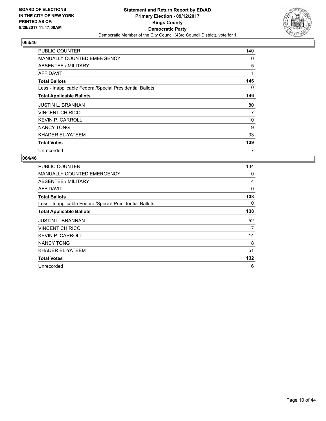

| <b>PUBLIC COUNTER</b>                                    | 140 |
|----------------------------------------------------------|-----|
| <b>MANUALLY COUNTED EMERGENCY</b>                        | 0   |
| ABSENTEE / MILITARY                                      | 5   |
| <b>AFFIDAVIT</b>                                         | 1   |
| <b>Total Ballots</b>                                     | 146 |
| Less - Inapplicable Federal/Special Presidential Ballots | 0   |
| <b>Total Applicable Ballots</b>                          | 146 |
| <b>JUSTIN L. BRANNAN</b>                                 | 80  |
| <b>VINCENT CHIRICO</b>                                   | 7   |
| <b>KEVIN P. CARROLL</b>                                  | 10  |
| <b>NANCY TONG</b>                                        | 9   |
| KHADER EL-YATEEM                                         | 33  |
| <b>Total Votes</b>                                       | 139 |
| Unrecorded                                               | 7   |

| PUBLIC COUNTER                                           | 134 |
|----------------------------------------------------------|-----|
| <b>MANUALLY COUNTED EMERGENCY</b>                        | 0   |
| <b>ABSENTEE / MILITARY</b>                               | 4   |
| AFFIDAVIT                                                | 0   |
| <b>Total Ballots</b>                                     | 138 |
| Less - Inapplicable Federal/Special Presidential Ballots | 0   |
| <b>Total Applicable Ballots</b>                          | 138 |
| <b>JUSTIN L. BRANNAN</b>                                 | 52  |
| <b>VINCENT CHIRICO</b>                                   | 7   |
| <b>KEVIN P. CARROLL</b>                                  | 14  |
| <b>NANCY TONG</b>                                        | 8   |
| KHADER EL-YATEEM                                         | 51  |
| <b>Total Votes</b>                                       | 132 |
| Unrecorded                                               | 6   |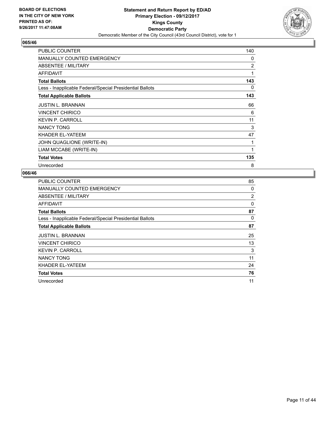

| PUBLIC COUNTER                                           | 140 |
|----------------------------------------------------------|-----|
| <b>MANUALLY COUNTED EMERGENCY</b>                        | 0   |
| ABSENTEE / MILITARY                                      | 2   |
| <b>AFFIDAVIT</b>                                         | 1   |
| <b>Total Ballots</b>                                     | 143 |
| Less - Inapplicable Federal/Special Presidential Ballots | 0   |
| <b>Total Applicable Ballots</b>                          | 143 |
| <b>JUSTIN L. BRANNAN</b>                                 | 66  |
| <b>VINCENT CHIRICO</b>                                   | 6   |
| <b>KEVIN P. CARROLL</b>                                  | 11  |
| <b>NANCY TONG</b>                                        | 3   |
| KHADER EL-YATEEM                                         | 47  |
| JOHN QUAGLIONE (WRITE-IN)                                | 1   |
| LIAM MCCABE (WRITE-IN)                                   | 1   |
| <b>Total Votes</b>                                       | 135 |
| Unrecorded                                               | 8   |

| <b>PUBLIC COUNTER</b>                                    | 85 |
|----------------------------------------------------------|----|
| MANUALLY COUNTED EMERGENCY                               | 0  |
| ABSENTEE / MILITARY                                      | 2  |
| AFFIDAVIT                                                | 0  |
| <b>Total Ballots</b>                                     | 87 |
| Less - Inapplicable Federal/Special Presidential Ballots | 0  |
| <b>Total Applicable Ballots</b>                          | 87 |
| <b>JUSTIN L. BRANNAN</b>                                 | 25 |
| <b>VINCENT CHIRICO</b>                                   | 13 |
| <b>KEVIN P. CARROLL</b>                                  | 3  |
| <b>NANCY TONG</b>                                        | 11 |
| KHADER EL-YATEEM                                         | 24 |
| <b>Total Votes</b>                                       | 76 |
| Unrecorded                                               | 11 |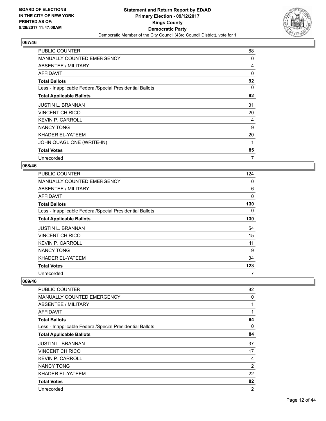

| <b>PUBLIC COUNTER</b>                                    | 88 |
|----------------------------------------------------------|----|
| <b>MANUALLY COUNTED EMERGENCY</b>                        | 0  |
| ABSENTEE / MILITARY                                      | 4  |
| AFFIDAVIT                                                | 0  |
| <b>Total Ballots</b>                                     | 92 |
| Less - Inapplicable Federal/Special Presidential Ballots | 0  |
| <b>Total Applicable Ballots</b>                          | 92 |
| <b>JUSTIN L. BRANNAN</b>                                 | 31 |
| <b>VINCENT CHIRICO</b>                                   | 20 |
| <b>KEVIN P. CARROLL</b>                                  | 4  |
| <b>NANCY TONG</b>                                        | 9  |
| KHADER EL-YATEEM                                         | 20 |
| JOHN QUAGLIONE (WRITE-IN)                                | 1  |
| <b>Total Votes</b>                                       | 85 |
| Unrecorded                                               | 7  |

#### **068/46**

| <b>PUBLIC COUNTER</b>                                    | 124 |
|----------------------------------------------------------|-----|
| <b>MANUALLY COUNTED EMERGENCY</b>                        | 0   |
| ABSENTEE / MILITARY                                      | 6   |
| AFFIDAVIT                                                | 0   |
| <b>Total Ballots</b>                                     | 130 |
| Less - Inapplicable Federal/Special Presidential Ballots | 0   |
| <b>Total Applicable Ballots</b>                          | 130 |
| <b>JUSTIN L. BRANNAN</b>                                 | 54  |
| <b>VINCENT CHIRICO</b>                                   | 15  |
| <b>KEVIN P. CARROLL</b>                                  | 11  |
| <b>NANCY TONG</b>                                        | 9   |
|                                                          |     |
| KHADER EL-YATEEM                                         | 34  |
| <b>Total Votes</b>                                       | 123 |

| PUBLIC COUNTER                                           | 82             |
|----------------------------------------------------------|----------------|
| MANUALLY COUNTED EMERGENCY                               | 0              |
| ABSENTEE / MILITARY                                      | 1              |
| AFFIDAVIT                                                | 1              |
| <b>Total Ballots</b>                                     | 84             |
| Less - Inapplicable Federal/Special Presidential Ballots | 0              |
| <b>Total Applicable Ballots</b>                          | 84             |
| <b>JUSTIN L. BRANNAN</b>                                 | 37             |
| <b>VINCENT CHIRICO</b>                                   | 17             |
| <b>KEVIN P. CARROLL</b>                                  | 4              |
| <b>NANCY TONG</b>                                        | $\overline{2}$ |
| KHADER EL-YATEEM                                         | 22             |
| <b>Total Votes</b>                                       | 82             |
| Unrecorded                                               | $\overline{2}$ |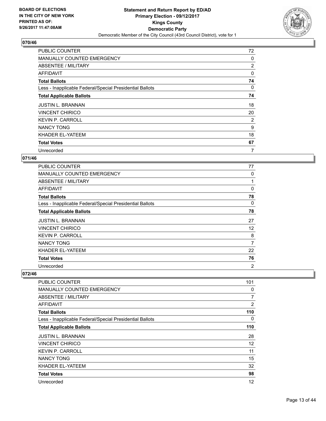

| PUBLIC COUNTER                                           | 72 |
|----------------------------------------------------------|----|
| <b>MANUALLY COUNTED EMERGENCY</b>                        | 0  |
| ABSENTEE / MILITARY                                      | 2  |
| AFFIDAVIT                                                | 0  |
| <b>Total Ballots</b>                                     | 74 |
| Less - Inapplicable Federal/Special Presidential Ballots | 0  |
| <b>Total Applicable Ballots</b>                          | 74 |
| <b>JUSTIN L. BRANNAN</b>                                 | 18 |
| <b>VINCENT CHIRICO</b>                                   | 20 |
| <b>KEVIN P. CARROLL</b>                                  | 2  |
| <b>NANCY TONG</b>                                        | 9  |
| KHADER EL-YATEEM                                         | 18 |
| <b>Total Votes</b>                                       | 67 |
| Unrecorded                                               | 7  |

## **071/46**

| <b>PUBLIC COUNTER</b>                                    | 77 |
|----------------------------------------------------------|----|
| <b>MANUALLY COUNTED EMERGENCY</b>                        | 0  |
| ABSENTEE / MILITARY                                      |    |
| AFFIDAVIT                                                | 0  |
| <b>Total Ballots</b>                                     | 78 |
| Less - Inapplicable Federal/Special Presidential Ballots | 0  |
| <b>Total Applicable Ballots</b>                          | 78 |
| <b>JUSTIN L. BRANNAN</b>                                 | 27 |
| <b>VINCENT CHIRICO</b>                                   | 12 |
| <b>KEVIN P. CARROLL</b>                                  | 8  |
| <b>NANCY TONG</b>                                        | 7  |
| KHADER EL-YATEEM                                         | 22 |
| <b>Total Votes</b>                                       | 76 |
|                                                          |    |

| <b>PUBLIC COUNTER</b>                                    | 101            |
|----------------------------------------------------------|----------------|
| <b>MANUALLY COUNTED EMERGENCY</b>                        | 0              |
| <b>ABSENTEE / MILITARY</b>                               | 7              |
| AFFIDAVIT                                                | $\overline{2}$ |
| <b>Total Ballots</b>                                     | 110            |
| Less - Inapplicable Federal/Special Presidential Ballots | 0              |
| <b>Total Applicable Ballots</b>                          | 110            |
| <b>JUSTIN L. BRANNAN</b>                                 | 28             |
| VINCENT CHIRICO                                          | 12             |
| <b>KEVIN P. CARROLL</b>                                  | 11             |
| <b>NANCY TONG</b>                                        | 15             |
| KHADER EL-YATEEM                                         | 32             |
| <b>Total Votes</b>                                       | 98             |
| Unrecorded                                               | 12             |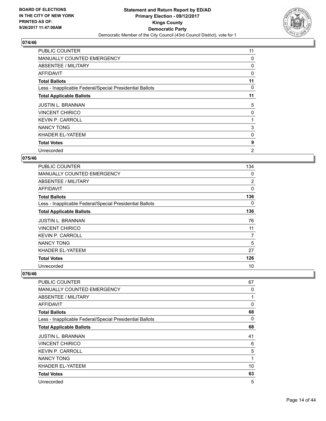

| <b>PUBLIC COUNTER</b>                                    | 11 |
|----------------------------------------------------------|----|
| <b>MANUALLY COUNTED EMERGENCY</b>                        | 0  |
| ABSENTEE / MILITARY                                      | 0  |
| AFFIDAVIT                                                | 0  |
| <b>Total Ballots</b>                                     | 11 |
| Less - Inapplicable Federal/Special Presidential Ballots | 0  |
| <b>Total Applicable Ballots</b>                          | 11 |
| <b>JUSTIN L. BRANNAN</b>                                 | 5  |
| <b>VINCENT CHIRICO</b>                                   | 0  |
| <b>KEVIN P. CARROLL</b>                                  |    |
| <b>NANCY TONG</b>                                        | 3  |
| KHADER EL-YATEEM                                         | 0  |
| <b>Total Votes</b>                                       | 9  |
| Unrecorded                                               | 2  |

## **075/46**

| <b>PUBLIC COUNTER</b>                                    | 134            |
|----------------------------------------------------------|----------------|
| <b>MANUALLY COUNTED EMERGENCY</b>                        | 0              |
| ABSENTEE / MILITARY                                      | $\overline{2}$ |
| <b>AFFIDAVIT</b>                                         | 0              |
| <b>Total Ballots</b>                                     | 136            |
| Less - Inapplicable Federal/Special Presidential Ballots | 0              |
| <b>Total Applicable Ballots</b>                          | 136            |
| <b>JUSTIN L. BRANNAN</b>                                 | 76             |
| <b>VINCENT CHIRICO</b>                                   | 11             |
| <b>KEVIN P. CARROLL</b>                                  | 7              |
| <b>NANCY TONG</b>                                        | 5              |
| KHADER EL-YATEEM                                         | 27             |
| <b>Total Votes</b>                                       | 126            |
| Unrecorded                                               | 10             |

| PUBLIC COUNTER                                           | 67       |
|----------------------------------------------------------|----------|
| <b>MANUALLY COUNTED EMERGENCY</b>                        | 0        |
| ABSENTEE / MILITARY                                      | 1        |
| AFFIDAVIT                                                | $\Omega$ |
| <b>Total Ballots</b>                                     | 68       |
| Less - Inapplicable Federal/Special Presidential Ballots | 0        |
| <b>Total Applicable Ballots</b>                          | 68       |
| <b>JUSTIN L. BRANNAN</b>                                 | 41       |
| <b>VINCENT CHIRICO</b>                                   | 6        |
| <b>KEVIN P. CARROLL</b>                                  | 5        |
| <b>NANCY TONG</b>                                        | 1        |
| KHADER EL-YATEEM                                         | 10       |
| <b>Total Votes</b>                                       | 63       |
| Unrecorded                                               | 5        |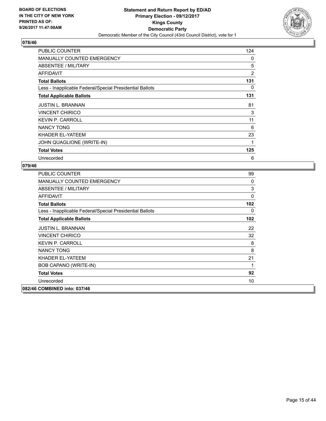

| <b>PUBLIC COUNTER</b>                                    | 124            |
|----------------------------------------------------------|----------------|
| <b>MANUALLY COUNTED EMERGENCY</b>                        | 0              |
| ABSENTEE / MILITARY                                      | 5              |
| AFFIDAVIT                                                | $\overline{2}$ |
| <b>Total Ballots</b>                                     | 131            |
| Less - Inapplicable Federal/Special Presidential Ballots | 0              |
| <b>Total Applicable Ballots</b>                          | 131            |
| <b>JUSTIN L. BRANNAN</b>                                 | 81             |
| <b>VINCENT CHIRICO</b>                                   | 3              |
| <b>KEVIN P. CARROLL</b>                                  | 11             |
| NANCY TONG                                               | 6              |
| KHADER EL-YATEEM                                         | 23             |
| JOHN QUAGLIONE (WRITE-IN)                                | 1              |
| <b>Total Votes</b>                                       | 125            |
| Unrecorded                                               | 6              |

| 99               |
|------------------|
| 0                |
| 3                |
| 0                |
| 102              |
| 0                |
| 102 <sub>2</sub> |
| 22               |
| 32               |
| 8                |
| 8                |
| 21               |
| 1                |
| 92               |
| 10               |
|                  |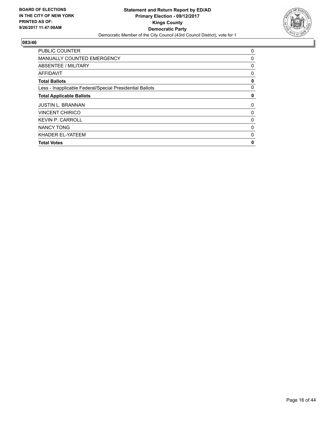

| <b>PUBLIC COUNTER</b>                                    | 0 |
|----------------------------------------------------------|---|
| <b>MANUALLY COUNTED EMERGENCY</b>                        | 0 |
| ABSENTEE / MILITARY                                      | 0 |
| <b>AFFIDAVIT</b>                                         | 0 |
| <b>Total Ballots</b>                                     | 0 |
| Less - Inapplicable Federal/Special Presidential Ballots | 0 |
| <b>Total Applicable Ballots</b>                          | 0 |
| <b>JUSTIN L. BRANNAN</b>                                 | 0 |
| <b>VINCENT CHIRICO</b>                                   | 0 |
| <b>KEVIN P. CARROLL</b>                                  | 0 |
| <b>NANCY TONG</b>                                        | 0 |
| KHADER EL-YATEEM                                         | 0 |
| <b>Total Votes</b>                                       | 0 |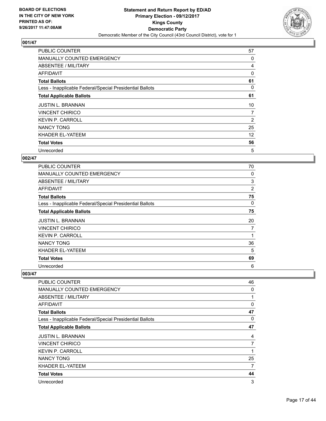

| <b>PUBLIC COUNTER</b>                                    | 57 |
|----------------------------------------------------------|----|
| <b>MANUALLY COUNTED EMERGENCY</b>                        | 0  |
| ABSENTEE / MILITARY                                      | 4  |
| AFFIDAVIT                                                | 0  |
| <b>Total Ballots</b>                                     | 61 |
| Less - Inapplicable Federal/Special Presidential Ballots | 0  |
| <b>Total Applicable Ballots</b>                          | 61 |
| <b>JUSTIN L. BRANNAN</b>                                 | 10 |
| <b>VINCENT CHIRICO</b>                                   | 7  |
| <b>KEVIN P. CARROLL</b>                                  | 2  |
| <b>NANCY TONG</b>                                        | 25 |
| KHADER EL-YATEEM                                         | 12 |
| <b>Total Votes</b>                                       | 56 |
| Unrecorded                                               | 5  |

## **002/47**

| <b>PUBLIC COUNTER</b>                                    | 70 |
|----------------------------------------------------------|----|
| <b>MANUALLY COUNTED EMERGENCY</b>                        | 0  |
| ABSENTEE / MILITARY                                      | 3  |
| AFFIDAVIT                                                | 2  |
| <b>Total Ballots</b>                                     | 75 |
| Less - Inapplicable Federal/Special Presidential Ballots | 0  |
| <b>Total Applicable Ballots</b>                          | 75 |
| <b>JUSTIN L. BRANNAN</b>                                 | 20 |
| <b>VINCENT CHIRICO</b>                                   | 7  |
| <b>KEVIN P. CARROLL</b>                                  |    |
| <b>NANCY TONG</b>                                        | 36 |
| KHADER EL-YATEEM                                         | 5  |
| <b>Total Votes</b>                                       | 69 |
| Unrecorded                                               | 6  |

| <b>PUBLIC COUNTER</b>                                    | 46          |
|----------------------------------------------------------|-------------|
| <b>MANUALLY COUNTED EMERGENCY</b>                        | 0           |
| ABSENTEE / MILITARY                                      | 1           |
| <b>AFFIDAVIT</b>                                         | $\mathbf 0$ |
| <b>Total Ballots</b>                                     | 47          |
| Less - Inapplicable Federal/Special Presidential Ballots | 0           |
| <b>Total Applicable Ballots</b>                          | 47          |
| <b>JUSTIN L. BRANNAN</b>                                 | 4           |
| <b>VINCENT CHIRICO</b>                                   | 7           |
| <b>KEVIN P. CARROLL</b>                                  | 1           |
| <b>NANCY TONG</b>                                        | 25          |
| KHADER EL-YATEEM                                         | 7           |
| <b>Total Votes</b>                                       | 44          |
| Unrecorded                                               | 3           |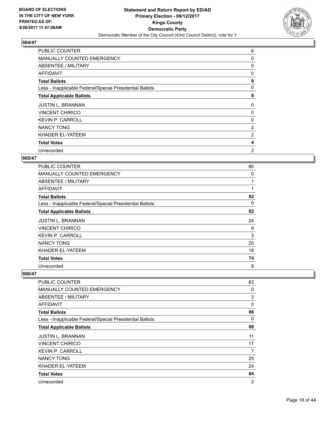

| <b>PUBLIC COUNTER</b>                                    | 6              |
|----------------------------------------------------------|----------------|
| MANUALLY COUNTED EMERGENCY                               | 0              |
| ABSENTEE / MILITARY                                      | 0              |
| AFFIDAVIT                                                | 0              |
| <b>Total Ballots</b>                                     | 6              |
| Less - Inapplicable Federal/Special Presidential Ballots | 0              |
| <b>Total Applicable Ballots</b>                          | 6              |
| <b>JUSTIN L. BRANNAN</b>                                 | 0              |
| <b>VINCENT CHIRICO</b>                                   | 0              |
| <b>KEVIN P. CARROLL</b>                                  | 0              |
| <b>NANCY TONG</b>                                        | $\overline{2}$ |
| KHADER EL-YATEEM                                         | 2              |
|                                                          |                |
| <b>Total Votes</b>                                       | 4              |

## **005/47**

| <b>PUBLIC COUNTER</b>                                    | 80 |
|----------------------------------------------------------|----|
| <b>MANUALLY COUNTED EMERGENCY</b>                        | 0  |
| ABSENTEE / MILITARY                                      |    |
| AFFIDAVIT                                                | 1  |
| <b>Total Ballots</b>                                     | 82 |
| Less - Inapplicable Federal/Special Presidential Ballots | 0  |
| <b>Total Applicable Ballots</b>                          | 82 |
| <b>JUSTIN L. BRANNAN</b>                                 | 24 |
| <b>VINCENT CHIRICO</b>                                   | 9  |
| <b>KEVIN P. CARROLL</b>                                  | 3  |
| <b>NANCY TONG</b>                                        | 20 |
| KHADER EL-YATEEM                                         | 18 |
|                                                          |    |
| <b>Total Votes</b>                                       | 74 |

| <b>PUBLIC COUNTER</b>                                    | 83             |
|----------------------------------------------------------|----------------|
| <b>MANUALLY COUNTED EMERGENCY</b>                        | 0              |
| ABSENTEE / MILITARY                                      | 3              |
| <b>AFFIDAVIT</b>                                         | 0              |
| <b>Total Ballots</b>                                     | 86             |
| Less - Inapplicable Federal/Special Presidential Ballots | 0              |
| <b>Total Applicable Ballots</b>                          | 86             |
| <b>JUSTIN L. BRANNAN</b>                                 | 11             |
| <b>VINCENT CHIRICO</b>                                   | 17             |
| <b>KEVIN P. CARROLL</b>                                  | 7              |
| <b>NANCY TONG</b>                                        | 25             |
| KHADER EL-YATEEM                                         | 24             |
| <b>Total Votes</b>                                       | 84             |
| Unrecorded                                               | $\overline{2}$ |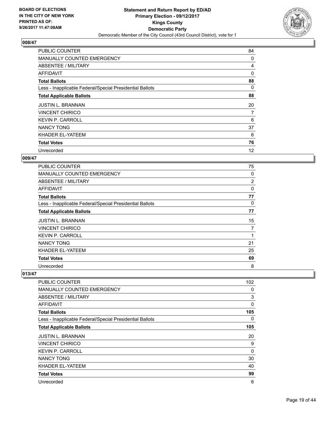

| <b>PUBLIC COUNTER</b>                                    | 84 |
|----------------------------------------------------------|----|
| <b>MANUALLY COUNTED EMERGENCY</b>                        | 0  |
| ABSENTEE / MILITARY                                      | 4  |
| AFFIDAVIT                                                | 0  |
| <b>Total Ballots</b>                                     | 88 |
| Less - Inapplicable Federal/Special Presidential Ballots | 0  |
| <b>Total Applicable Ballots</b>                          | 88 |
| <b>JUSTIN L. BRANNAN</b>                                 | 20 |
| <b>VINCENT CHIRICO</b>                                   | 7  |
| <b>KEVIN P. CARROLL</b>                                  | 6  |
| <b>NANCY TONG</b>                                        | 37 |
| KHADER EL-YATEEM                                         | 6  |
| <b>Total Votes</b>                                       | 76 |
| Unrecorded                                               | 12 |

## **009/47**

| <b>PUBLIC COUNTER</b>                                    | 75             |
|----------------------------------------------------------|----------------|
| <b>MANUALLY COUNTED EMERGENCY</b>                        | 0              |
| ABSENTEE / MILITARY                                      | $\overline{c}$ |
| AFFIDAVIT                                                | $\Omega$       |
| <b>Total Ballots</b>                                     | 77             |
| Less - Inapplicable Federal/Special Presidential Ballots | 0              |
| <b>Total Applicable Ballots</b>                          | 77             |
| <b>JUSTIN L. BRANNAN</b>                                 | 15             |
| <b>VINCENT CHIRICO</b>                                   | 7              |
| <b>KEVIN P. CARROLL</b>                                  |                |
| <b>NANCY TONG</b>                                        | 21             |
| KHADER EL-YATEEM                                         | 25             |
| <b>Total Votes</b>                                       | 69             |
| Unrecorded                                               | 8              |

| <b>PUBLIC COUNTER</b>                                    | 102 |
|----------------------------------------------------------|-----|
| <b>MANUALLY COUNTED EMERGENCY</b>                        | 0   |
| <b>ABSENTEE / MILITARY</b>                               | 3   |
| <b>AFFIDAVIT</b>                                         | 0   |
| <b>Total Ballots</b>                                     | 105 |
| Less - Inapplicable Federal/Special Presidential Ballots | 0   |
| <b>Total Applicable Ballots</b>                          | 105 |
| <b>JUSTIN L. BRANNAN</b>                                 | 20  |
| <b>VINCENT CHIRICO</b>                                   | 9   |
| <b>KEVIN P. CARROLL</b>                                  | 0   |
| <b>NANCY TONG</b>                                        | 30  |
| KHADER EL-YATEEM                                         | 40  |
| <b>Total Votes</b>                                       | 99  |
| Unrecorded                                               | 6   |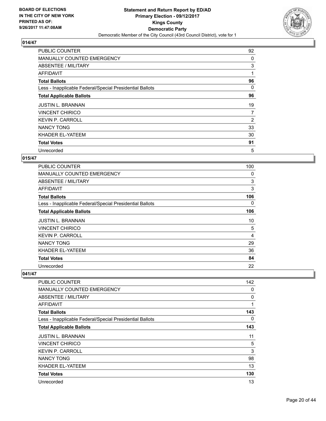

| <b>PUBLIC COUNTER</b>                                    | 92 |
|----------------------------------------------------------|----|
| <b>MANUALLY COUNTED EMERGENCY</b>                        | 0  |
| ABSENTEE / MILITARY                                      | 3  |
| AFFIDAVIT                                                | 1  |
| <b>Total Ballots</b>                                     | 96 |
| Less - Inapplicable Federal/Special Presidential Ballots | 0  |
| <b>Total Applicable Ballots</b>                          | 96 |
| <b>JUSTIN L. BRANNAN</b>                                 | 19 |
| <b>VINCENT CHIRICO</b>                                   | 7  |
| <b>KEVIN P. CARROLL</b>                                  | 2  |
| NANCY TONG                                               | 33 |
| KHADER EL-YATEEM                                         | 30 |
| <b>Total Votes</b>                                       | 91 |
| Unrecorded                                               | 5  |

## **015/47**

| <b>PUBLIC COUNTER</b>                                    | 100 |
|----------------------------------------------------------|-----|
| MANUALLY COUNTED EMERGENCY                               | 0   |
| ABSENTEE / MILITARY                                      | 3   |
| AFFIDAVIT                                                | 3   |
| <b>Total Ballots</b>                                     | 106 |
| Less - Inapplicable Federal/Special Presidential Ballots | 0   |
| <b>Total Applicable Ballots</b>                          | 106 |
| JUSTIN L. BRANNAN                                        | 10  |
| <b>VINCENT CHIRICO</b>                                   | 5   |
| <b>KEVIN P. CARROLL</b>                                  | 4   |
| <b>NANCY TONG</b>                                        | 29  |
| KHADER EL-YATEEM                                         | 36  |
| <b>Total Votes</b>                                       | 84  |
| Unrecorded                                               | 22  |

| PUBLIC COUNTER                                           | 142 |
|----------------------------------------------------------|-----|
| <b>MANUALLY COUNTED EMERGENCY</b>                        | 0   |
| <b>ABSENTEE / MILITARY</b>                               | 0   |
| AFFIDAVIT                                                | 1   |
| <b>Total Ballots</b>                                     | 143 |
| Less - Inapplicable Federal/Special Presidential Ballots | 0   |
| <b>Total Applicable Ballots</b>                          | 143 |
| <b>JUSTIN L. BRANNAN</b>                                 | 11  |
| <b>VINCENT CHIRICO</b>                                   | 5   |
| <b>KEVIN P. CARROLL</b>                                  | 3   |
| <b>NANCY TONG</b>                                        | 98  |
| KHADER EL-YATEEM                                         | 13  |
| <b>Total Votes</b>                                       | 130 |
| Unrecorded                                               | 13  |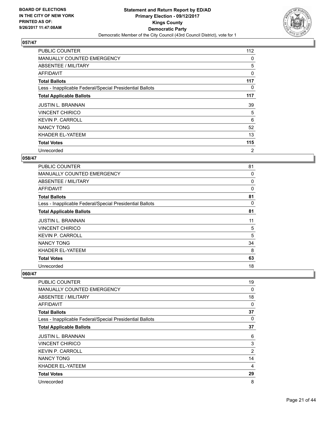

| PUBLIC COUNTER                                           | 112 |
|----------------------------------------------------------|-----|
| MANUALLY COUNTED EMERGENCY                               | 0   |
| ABSENTEE / MILITARY                                      | 5   |
| AFFIDAVIT                                                | 0   |
| <b>Total Ballots</b>                                     | 117 |
| Less - Inapplicable Federal/Special Presidential Ballots | 0   |
| <b>Total Applicable Ballots</b>                          | 117 |
| <b>JUSTIN L. BRANNAN</b>                                 | 39  |
| <b>VINCENT CHIRICO</b>                                   | 5   |
| <b>KEVIN P. CARROLL</b>                                  | 6   |
|                                                          |     |
| <b>NANCY TONG</b>                                        | 52  |
| KHADER EL-YATEEM                                         | 13  |
| <b>Total Votes</b>                                       | 115 |

## **058/47**

| <b>PUBLIC COUNTER</b>                                    | 81 |
|----------------------------------------------------------|----|
| <b>MANUALLY COUNTED EMERGENCY</b>                        | 0  |
| ABSENTEE / MILITARY                                      | 0  |
| <b>AFFIDAVIT</b>                                         | 0  |
| <b>Total Ballots</b>                                     | 81 |
| Less - Inapplicable Federal/Special Presidential Ballots | 0  |
| <b>Total Applicable Ballots</b>                          | 81 |
| <b>JUSTIN L. BRANNAN</b>                                 | 11 |
| <b>VINCENT CHIRICO</b>                                   | 5  |
| <b>KEVIN P. CARROLL</b>                                  | 5  |
| <b>NANCY TONG</b>                                        | 34 |
| KHADER EL-YATEEM                                         | 8  |
| <b>Total Votes</b>                                       | 63 |
| Unrecorded                                               | 18 |

| <b>PUBLIC COUNTER</b>                                    | 19             |
|----------------------------------------------------------|----------------|
| <b>MANUALLY COUNTED EMERGENCY</b>                        | 0              |
| ABSENTEE / MILITARY                                      | 18             |
| <b>AFFIDAVIT</b>                                         | 0              |
| <b>Total Ballots</b>                                     | 37             |
| Less - Inapplicable Federal/Special Presidential Ballots | 0              |
| <b>Total Applicable Ballots</b>                          | 37             |
| <b>JUSTIN L. BRANNAN</b>                                 | 6              |
| <b>VINCENT CHIRICO</b>                                   | 3              |
| <b>KEVIN P. CARROLL</b>                                  | $\overline{2}$ |
| <b>NANCY TONG</b>                                        | 14             |
| KHADER EL-YATEEM                                         | 4              |
| <b>Total Votes</b>                                       | 29             |
| Unrecorded                                               | 8              |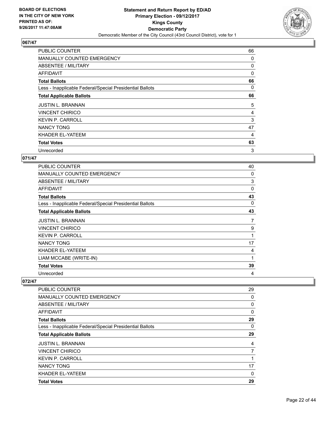

| <b>PUBLIC COUNTER</b>                                    | 66 |
|----------------------------------------------------------|----|
| MANUALLY COUNTED EMERGENCY                               | 0  |
| ABSENTEE / MILITARY                                      | 0  |
| AFFIDAVIT                                                | 0  |
| <b>Total Ballots</b>                                     | 66 |
| Less - Inapplicable Federal/Special Presidential Ballots | 0  |
| <b>Total Applicable Ballots</b>                          | 66 |
| <b>JUSTIN L. BRANNAN</b>                                 | 5  |
| <b>VINCENT CHIRICO</b>                                   | 4  |
| <b>KEVIN P. CARROLL</b>                                  | 3  |
| NANCY TONG                                               | 47 |
| KHADER EL-YATEEM                                         | 4  |
| <b>Total Votes</b>                                       | 63 |
| Unrecorded                                               | 3  |

## **071/47**

| <b>PUBLIC COUNTER</b>                                    | 40 |
|----------------------------------------------------------|----|
| <b>MANUALLY COUNTED EMERGENCY</b>                        | 0  |
| ABSENTEE / MILITARY                                      | 3  |
| AFFIDAVIT                                                | 0  |
| <b>Total Ballots</b>                                     | 43 |
| Less - Inapplicable Federal/Special Presidential Ballots | 0  |
| <b>Total Applicable Ballots</b>                          | 43 |
| <b>JUSTIN L. BRANNAN</b>                                 | 7  |
| <b>VINCENT CHIRICO</b>                                   | 9  |
| <b>KEVIN P. CARROLL</b>                                  | 1  |
| <b>NANCY TONG</b>                                        | 17 |
| KHADER EL-YATEEM                                         | 4  |
| LIAM MCCABE (WRITE-IN)                                   | 1  |
| <b>Total Votes</b>                                       | 39 |
| Unrecorded                                               | 4  |

| <b>PUBLIC COUNTER</b>                                    | 29          |
|----------------------------------------------------------|-------------|
| <b>MANUALLY COUNTED EMERGENCY</b>                        | 0           |
| ABSENTEE / MILITARY                                      | 0           |
| AFFIDAVIT                                                | $\mathbf 0$ |
| <b>Total Ballots</b>                                     | 29          |
| Less - Inapplicable Federal/Special Presidential Ballots | 0           |
| <b>Total Applicable Ballots</b>                          | 29          |
| <b>JUSTIN L. BRANNAN</b>                                 | 4           |
| <b>VINCENT CHIRICO</b>                                   | 7           |
| <b>KEVIN P. CARROLL</b>                                  | 1           |
| <b>NANCY TONG</b>                                        | 17          |
| KHADER EL-YATEEM                                         | 0           |
| <b>Total Votes</b>                                       | 29          |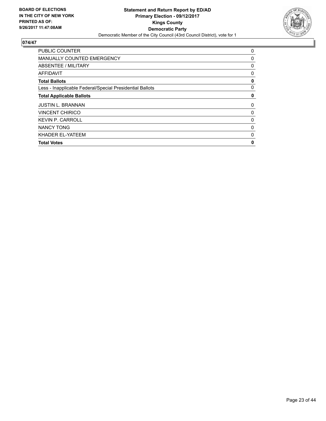

| <b>PUBLIC COUNTER</b>                                    | 0 |
|----------------------------------------------------------|---|
| <b>MANUALLY COUNTED EMERGENCY</b>                        | 0 |
| ABSENTEE / MILITARY                                      | 0 |
| <b>AFFIDAVIT</b>                                         | 0 |
| <b>Total Ballots</b>                                     | 0 |
| Less - Inapplicable Federal/Special Presidential Ballots | 0 |
| <b>Total Applicable Ballots</b>                          | 0 |
| <b>JUSTIN L. BRANNAN</b>                                 | 0 |
| <b>VINCENT CHIRICO</b>                                   | 0 |
| <b>KEVIN P. CARROLL</b>                                  | 0 |
| <b>NANCY TONG</b>                                        | 0 |
| KHADER EL-YATEEM                                         | 0 |
| <b>Total Votes</b>                                       | 0 |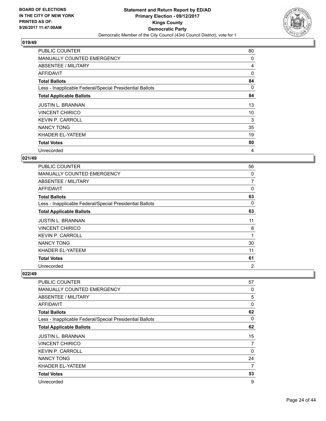

| <b>PUBLIC COUNTER</b>                                    | 80 |
|----------------------------------------------------------|----|
| <b>MANUALLY COUNTED EMERGENCY</b>                        | 0  |
| ABSENTEE / MILITARY                                      | 4  |
| AFFIDAVIT                                                | 0  |
| <b>Total Ballots</b>                                     | 84 |
| Less - Inapplicable Federal/Special Presidential Ballots | 0  |
| <b>Total Applicable Ballots</b>                          | 84 |
| <b>JUSTIN L. BRANNAN</b>                                 | 13 |
| <b>VINCENT CHIRICO</b>                                   | 10 |
| <b>KEVIN P. CARROLL</b>                                  | 3  |
| <b>NANCY TONG</b>                                        | 35 |
| KHADER EL-YATEEM                                         | 19 |
| <b>Total Votes</b>                                       | 80 |
| Unrecorded                                               | 4  |

## **021/49**

| <b>PUBLIC COUNTER</b>                                    | 56             |
|----------------------------------------------------------|----------------|
| <b>MANUALLY COUNTED EMERGENCY</b>                        | 0              |
| ABSENTEE / MILITARY                                      | $\overline{7}$ |
| AFFIDAVIT                                                | 0              |
| <b>Total Ballots</b>                                     | 63             |
| Less - Inapplicable Federal/Special Presidential Ballots | 0              |
| <b>Total Applicable Ballots</b>                          | 63             |
| <b>JUSTIN L. BRANNAN</b>                                 | 11             |
| <b>VINCENT CHIRICO</b>                                   | 8              |
| <b>KEVIN P. CARROLL</b>                                  | 1              |
| <b>NANCY TONG</b>                                        | 30             |
| KHADER EL-YATEEM                                         | 11             |
| <b>Total Votes</b>                                       | 61             |
| Unrecorded                                               | $\overline{2}$ |

| <b>PUBLIC COUNTER</b>                                    | 57 |
|----------------------------------------------------------|----|
| <b>MANUALLY COUNTED EMERGENCY</b>                        | 0  |
| <b>ABSENTEE / MILITARY</b>                               | 5  |
| <b>AFFIDAVIT</b>                                         | 0  |
| <b>Total Ballots</b>                                     | 62 |
| Less - Inapplicable Federal/Special Presidential Ballots | 0  |
| <b>Total Applicable Ballots</b>                          | 62 |
| <b>JUSTIN L. BRANNAN</b>                                 | 15 |
| <b>VINCENT CHIRICO</b>                                   | 7  |
| <b>KEVIN P. CARROLL</b>                                  | 0  |
| <b>NANCY TONG</b>                                        | 24 |
| KHADER EL-YATEEM                                         | 7  |
| <b>Total Votes</b>                                       | 53 |
| Unrecorded                                               | 9  |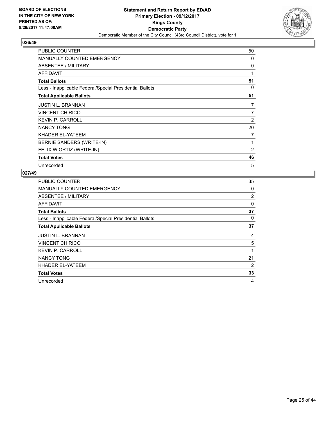

| <b>PUBLIC COUNTER</b>                                    | 50             |
|----------------------------------------------------------|----------------|
| MANUALLY COUNTED EMERGENCY                               | 0              |
| ABSENTEE / MILITARY                                      | 0              |
| AFFIDAVIT                                                | 1              |
| <b>Total Ballots</b>                                     | 51             |
| Less - Inapplicable Federal/Special Presidential Ballots | 0              |
| <b>Total Applicable Ballots</b>                          | 51             |
| <b>JUSTIN L. BRANNAN</b>                                 | 7              |
| <b>VINCENT CHIRICO</b>                                   | 7              |
| <b>KEVIN P. CARROLL</b>                                  | 2              |
| <b>NANCY TONG</b>                                        | 20             |
| KHADER EL-YATEEM                                         | 7              |
| BERNIE SANDERS (WRITE-IN)                                | 1              |
| FELIX W ORTIZ (WRITE-IN)                                 | $\overline{2}$ |
| <b>Total Votes</b>                                       | 46             |
| Unrecorded                                               | 5              |

| <b>PUBLIC COUNTER</b>                                    | 35       |
|----------------------------------------------------------|----------|
| <b>MANUALLY COUNTED EMERGENCY</b>                        | 0        |
| ABSENTEE / MILITARY                                      | 2        |
| AFFIDAVIT                                                | $\Omega$ |
| <b>Total Ballots</b>                                     | 37       |
| Less - Inapplicable Federal/Special Presidential Ballots | 0        |
| <b>Total Applicable Ballots</b>                          | 37       |
|                                                          |          |
| <b>JUSTIN L. BRANNAN</b>                                 | 4        |
| <b>VINCENT CHIRICO</b>                                   | 5        |
| <b>KEVIN P. CARROLL</b>                                  |          |
| <b>NANCY TONG</b>                                        | 21       |
| KHADER EL-YATEEM                                         | 2        |
| <b>Total Votes</b>                                       | 33       |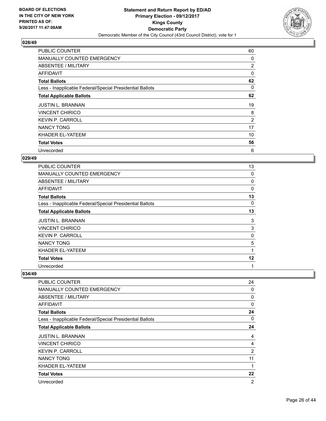

| <b>PUBLIC COUNTER</b>                                    | 60 |
|----------------------------------------------------------|----|
| <b>MANUALLY COUNTED EMERGENCY</b>                        | 0  |
| ABSENTEE / MILITARY                                      | 2  |
| AFFIDAVIT                                                | 0  |
| <b>Total Ballots</b>                                     | 62 |
| Less - Inapplicable Federal/Special Presidential Ballots | 0  |
| <b>Total Applicable Ballots</b>                          | 62 |
| <b>JUSTIN L. BRANNAN</b>                                 | 19 |
| <b>VINCENT CHIRICO</b>                                   | 8  |
| <b>KEVIN P. CARROLL</b>                                  | 2  |
| <b>NANCY TONG</b>                                        | 17 |
| KHADER EL-YATEEM                                         | 10 |
| <b>Total Votes</b>                                       | 56 |
| Unrecorded                                               | 6  |

## **029/49**

| <b>PUBLIC COUNTER</b>                                    | 13       |
|----------------------------------------------------------|----------|
| <b>MANUALLY COUNTED EMERGENCY</b>                        | 0        |
| ABSENTEE / MILITARY                                      | 0        |
| AFFIDAVIT                                                | $\Omega$ |
| <b>Total Ballots</b>                                     | 13       |
| Less - Inapplicable Federal/Special Presidential Ballots | $\Omega$ |
| <b>Total Applicable Ballots</b>                          | 13       |
| <b>JUSTIN L. BRANNAN</b>                                 | 3        |
| <b>VINCENT CHIRICO</b>                                   | 3        |
| <b>KEVIN P. CARROLL</b>                                  | 0        |
| <b>NANCY TONG</b>                                        | 5        |
| KHADER EL-YATEEM                                         | 1        |
| <b>Total Votes</b>                                       | 12       |
| Unrecorded                                               | 1        |

| PUBLIC COUNTER                                           | 24             |
|----------------------------------------------------------|----------------|
| <b>MANUALLY COUNTED EMERGENCY</b>                        | 0              |
| ABSENTEE / MILITARY                                      | 0              |
| <b>AFFIDAVIT</b>                                         | 0              |
| <b>Total Ballots</b>                                     | 24             |
| Less - Inapplicable Federal/Special Presidential Ballots | 0              |
| <b>Total Applicable Ballots</b>                          | 24             |
| <b>JUSTIN L. BRANNAN</b>                                 | 4              |
| <b>VINCENT CHIRICO</b>                                   | 4              |
| <b>KEVIN P. CARROLL</b>                                  | $\overline{2}$ |
| <b>NANCY TONG</b>                                        | 11             |
| KHADER EL-YATEEM                                         | 1              |
| <b>Total Votes</b>                                       | 22             |
| Unrecorded                                               | $\overline{2}$ |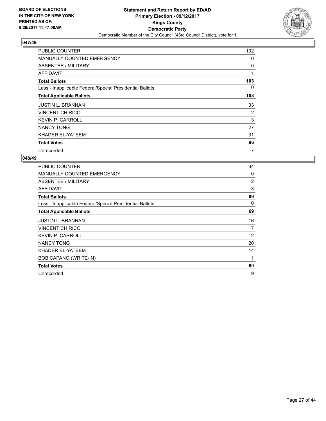

| <b>PUBLIC COUNTER</b>                                    | 102 |
|----------------------------------------------------------|-----|
| <b>MANUALLY COUNTED EMERGENCY</b>                        | 0   |
| ABSENTEE / MILITARY                                      | 0   |
| AFFIDAVIT                                                | 1   |
| <b>Total Ballots</b>                                     | 103 |
| Less - Inapplicable Federal/Special Presidential Ballots | 0   |
| <b>Total Applicable Ballots</b>                          | 103 |
| <b>JUSTIN L. BRANNAN</b>                                 | 33  |
| <b>VINCENT CHIRICO</b>                                   | 2   |
| <b>KEVIN P. CARROLL</b>                                  | 3   |
| <b>NANCY TONG</b>                                        | 27  |
| KHADER EL-YATEEM                                         | 31  |
| <b>Total Votes</b>                                       | 96  |
| Unrecorded                                               | 7   |

| <b>PUBLIC COUNTER</b>                                    | 64 |
|----------------------------------------------------------|----|
| <b>MANUALLY COUNTED EMERGENCY</b>                        | 0  |
| <b>ABSENTEE / MILITARY</b>                               | 2  |
| <b>AFFIDAVIT</b>                                         | 3  |
| <b>Total Ballots</b>                                     | 69 |
| Less - Inapplicable Federal/Special Presidential Ballots | 0  |
| <b>Total Applicable Ballots</b>                          | 69 |
| <b>JUSTIN L. BRANNAN</b>                                 | 16 |
| <b>VINCENT CHIRICO</b>                                   | 7  |
| <b>KEVIN P. CARROLL</b>                                  | 2  |
| <b>NANCY TONG</b>                                        | 20 |
| KHADER EL-YATEEM                                         | 14 |
| BOB CAPANO (WRITE-IN)                                    | 1  |
| <b>Total Votes</b>                                       | 60 |
| Unrecorded                                               | 9  |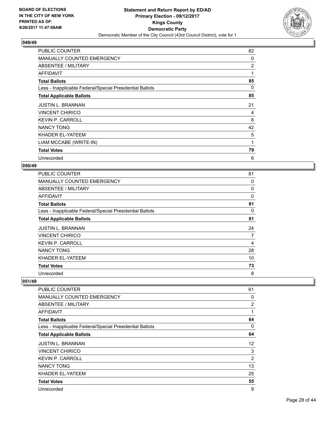

| <b>PUBLIC COUNTER</b>                                    | 82 |
|----------------------------------------------------------|----|
| <b>MANUALLY COUNTED EMERGENCY</b>                        | 0  |
| ABSENTEE / MILITARY                                      | 2  |
| AFFIDAVIT                                                | 1  |
| <b>Total Ballots</b>                                     | 85 |
| Less - Inapplicable Federal/Special Presidential Ballots | 0  |
| <b>Total Applicable Ballots</b>                          | 85 |
| <b>JUSTIN L. BRANNAN</b>                                 | 21 |
| <b>VINCENT CHIRICO</b>                                   | 4  |
| <b>KEVIN P. CARROLL</b>                                  | 6  |
| <b>NANCY TONG</b>                                        | 42 |
| KHADER EL-YATEEM                                         | 5  |
| LIAM MCCABE (WRITE-IN)                                   | 1  |
| <b>Total Votes</b>                                       | 79 |
| Unrecorded                                               | 6  |

#### **050/49**

| PUBLIC COUNTER                                           | 81 |
|----------------------------------------------------------|----|
| MANUALLY COUNTED EMERGENCY                               | 0  |
| ABSENTEE / MILITARY                                      | 0  |
| AFFIDAVIT                                                | 0  |
| <b>Total Ballots</b>                                     | 81 |
| Less - Inapplicable Federal/Special Presidential Ballots | 0  |
| <b>Total Applicable Ballots</b>                          | 81 |
| <b>JUSTIN L. BRANNAN</b>                                 | 24 |
| <b>VINCENT CHIRICO</b>                                   | 7  |
| <b>KEVIN P. CARROLL</b>                                  | 4  |
| <b>NANCY TONG</b>                                        | 28 |
| KHADER EL-YATEEM                                         | 10 |
| <b>Total Votes</b>                                       | 73 |
| Unrecorded                                               | 8  |

| PUBLIC COUNTER                                           | 61             |
|----------------------------------------------------------|----------------|
| <b>MANUALLY COUNTED EMERGENCY</b>                        | 0              |
| ABSENTEE / MILITARY                                      | $\overline{2}$ |
| AFFIDAVIT                                                | 1              |
| <b>Total Ballots</b>                                     | 64             |
| Less - Inapplicable Federal/Special Presidential Ballots | 0              |
| <b>Total Applicable Ballots</b>                          | 64             |
| <b>JUSTIN L. BRANNAN</b>                                 | 12             |
| <b>VINCENT CHIRICO</b>                                   | 3              |
| <b>KEVIN P. CARROLL</b>                                  | $\overline{2}$ |
| <b>NANCY TONG</b>                                        | 13             |
| KHADER EL-YATEEM                                         | 25             |
| <b>Total Votes</b>                                       | 55             |
| Unrecorded                                               | 9              |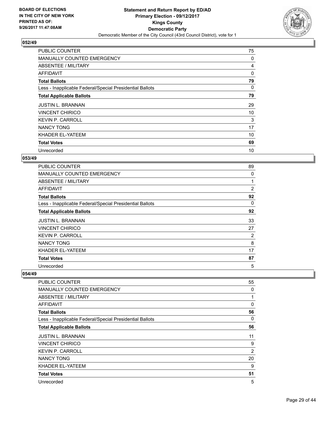

| <b>PUBLIC COUNTER</b>                                    | 75 |
|----------------------------------------------------------|----|
| <b>MANUALLY COUNTED EMERGENCY</b>                        | 0  |
| ABSENTEE / MILITARY                                      | 4  |
| AFFIDAVIT                                                | 0  |
| <b>Total Ballots</b>                                     | 79 |
| Less - Inapplicable Federal/Special Presidential Ballots | 0  |
| <b>Total Applicable Ballots</b>                          | 79 |
| <b>JUSTIN L. BRANNAN</b>                                 | 29 |
| <b>VINCENT CHIRICO</b>                                   | 10 |
| <b>KEVIN P. CARROLL</b>                                  | 3  |
| <b>NANCY TONG</b>                                        | 17 |
| KHADER EL-YATEEM                                         | 10 |
| <b>Total Votes</b>                                       | 69 |
| Unrecorded                                               | 10 |

## **053/49**

| <b>PUBLIC COUNTER</b>                                    | 89             |
|----------------------------------------------------------|----------------|
| <b>MANUALLY COUNTED EMERGENCY</b>                        | 0              |
| ABSENTEE / MILITARY                                      |                |
| AFFIDAVIT                                                | $\overline{2}$ |
| <b>Total Ballots</b>                                     | 92             |
| Less - Inapplicable Federal/Special Presidential Ballots | 0              |
| <b>Total Applicable Ballots</b>                          | 92             |
| <b>JUSTIN L. BRANNAN</b>                                 | 33             |
| <b>VINCENT CHIRICO</b>                                   | 27             |
| <b>KEVIN P. CARROLL</b>                                  | 2              |
| <b>NANCY TONG</b>                                        | 8              |
| KHADER EL-YATEEM                                         | 17             |
| <b>Total Votes</b>                                       | 87             |
| Unrecorded                                               | 5              |

| <b>PUBLIC COUNTER</b>                                    | 55           |
|----------------------------------------------------------|--------------|
| <b>MANUALLY COUNTED EMERGENCY</b>                        | 0            |
| ABSENTEE / MILITARY                                      | $\mathbf{1}$ |
| <b>AFFIDAVIT</b>                                         | 0            |
| <b>Total Ballots</b>                                     | 56           |
| Less - Inapplicable Federal/Special Presidential Ballots | 0            |
| <b>Total Applicable Ballots</b>                          | 56           |
| <b>JUSTIN L. BRANNAN</b>                                 | 11           |
| <b>VINCENT CHIRICO</b>                                   | 9            |
| <b>KEVIN P. CARROLL</b>                                  | 2            |
| <b>NANCY TONG</b>                                        | 20           |
| KHADER EL-YATEEM                                         | 9            |
| <b>Total Votes</b>                                       | 51           |
| Unrecorded                                               | 5            |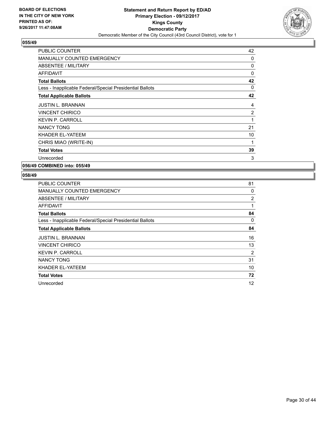

| <b>PUBLIC COUNTER</b>                                    | 42           |
|----------------------------------------------------------|--------------|
| <b>MANUALLY COUNTED EMERGENCY</b>                        | 0            |
| <b>ABSENTEE / MILITARY</b>                               | 0            |
| <b>AFFIDAVIT</b>                                         | $\Omega$     |
| <b>Total Ballots</b>                                     | 42           |
| Less - Inapplicable Federal/Special Presidential Ballots | 0            |
| <b>Total Applicable Ballots</b>                          | 42           |
| <b>JUSTIN L. BRANNAN</b>                                 | 4            |
| <b>VINCENT CHIRICO</b>                                   | 2            |
| <b>KEVIN P. CARROLL</b>                                  | $\mathbf{1}$ |
| <b>NANCY TONG</b>                                        | 21           |
| KHADER EL-YATEEM                                         | 10           |
| CHRIS MIAO (WRITE-IN)                                    | 1            |
| <b>Total Votes</b>                                       | 39           |
| Unrecorded                                               | 3            |

**056/49 COMBINED into: 055/49**

| <b>PUBLIC COUNTER</b>                                    | 81             |
|----------------------------------------------------------|----------------|
| MANUALLY COUNTED EMERGENCY                               | 0              |
| ABSENTEE / MILITARY                                      | $\overline{2}$ |
| AFFIDAVIT                                                | 1              |
| <b>Total Ballots</b>                                     | 84             |
| Less - Inapplicable Federal/Special Presidential Ballots | 0              |
| <b>Total Applicable Ballots</b>                          | 84             |
| <b>JUSTIN L. BRANNAN</b>                                 | 16             |
| <b>VINCENT CHIRICO</b>                                   | 13             |
| <b>KEVIN P. CARROLL</b>                                  | 2              |
| <b>NANCY TONG</b>                                        | 31             |
| KHADER EL-YATEEM                                         | 10             |
| <b>Total Votes</b>                                       | 72             |
| Unrecorded                                               | 12             |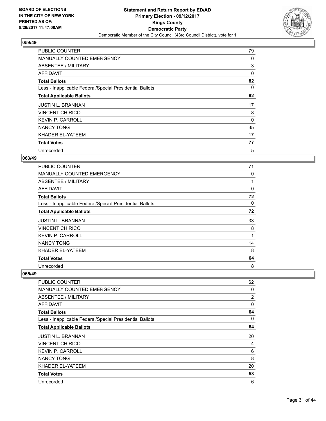

| <b>PUBLIC COUNTER</b>                                    | 79 |
|----------------------------------------------------------|----|
| <b>MANUALLY COUNTED EMERGENCY</b>                        | 0  |
| ABSENTEE / MILITARY                                      | 3  |
| AFFIDAVIT                                                | 0  |
| <b>Total Ballots</b>                                     | 82 |
| Less - Inapplicable Federal/Special Presidential Ballots | 0  |
| <b>Total Applicable Ballots</b>                          | 82 |
| <b>JUSTIN L. BRANNAN</b>                                 | 17 |
| <b>VINCENT CHIRICO</b>                                   | 8  |
| <b>KEVIN P. CARROLL</b>                                  | 0  |
| <b>NANCY TONG</b>                                        | 35 |
| KHADER EL-YATEEM                                         | 17 |
| <b>Total Votes</b>                                       | 77 |
| Unrecorded                                               | 5  |

## **063/49**

| <b>PUBLIC COUNTER</b>                                    | 71       |
|----------------------------------------------------------|----------|
| <b>MANUALLY COUNTED EMERGENCY</b>                        | 0        |
| ABSENTEE / MILITARY                                      |          |
| AFFIDAVIT                                                | $\Omega$ |
| <b>Total Ballots</b>                                     | 72       |
| Less - Inapplicable Federal/Special Presidential Ballots | 0        |
| <b>Total Applicable Ballots</b>                          | 72       |
| <b>JUSTIN L. BRANNAN</b>                                 | 33       |
| <b>VINCENT CHIRICO</b>                                   | 8        |
| <b>KEVIN P. CARROLL</b>                                  | 1        |
| <b>NANCY TONG</b>                                        | 14       |
| KHADER EL-YATEEM                                         | 8        |
| <b>Total Votes</b>                                       | 64       |
| Unrecorded                                               | 8        |

| <b>PUBLIC COUNTER</b>                                    | 62             |
|----------------------------------------------------------|----------------|
| <b>MANUALLY COUNTED EMERGENCY</b>                        | 0              |
| <b>ABSENTEE / MILITARY</b>                               | $\overline{2}$ |
| <b>AFFIDAVIT</b>                                         | 0              |
| <b>Total Ballots</b>                                     | 64             |
| Less - Inapplicable Federal/Special Presidential Ballots | 0              |
| <b>Total Applicable Ballots</b>                          | 64             |
| <b>JUSTIN L. BRANNAN</b>                                 | 20             |
| <b>VINCENT CHIRICO</b>                                   | 4              |
| <b>KEVIN P. CARROLL</b>                                  | 6              |
| <b>NANCY TONG</b>                                        | 8              |
| KHADER EL-YATEEM                                         | 20             |
| <b>Total Votes</b>                                       | 58             |
| Unrecorded                                               | 6              |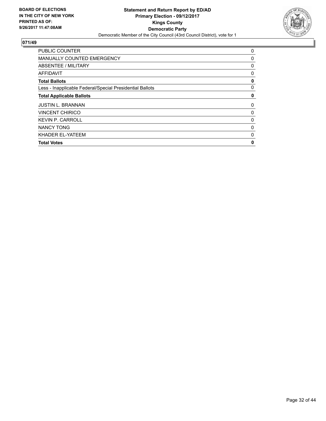

| <b>PUBLIC COUNTER</b>                                    | 0 |
|----------------------------------------------------------|---|
| <b>MANUALLY COUNTED EMERGENCY</b>                        | 0 |
| ABSENTEE / MILITARY                                      | 0 |
| <b>AFFIDAVIT</b>                                         | 0 |
| <b>Total Ballots</b>                                     | 0 |
| Less - Inapplicable Federal/Special Presidential Ballots | 0 |
| <b>Total Applicable Ballots</b>                          | 0 |
| <b>JUSTIN L. BRANNAN</b>                                 | 0 |
| <b>VINCENT CHIRICO</b>                                   | 0 |
| <b>KEVIN P. CARROLL</b>                                  | 0 |
| <b>NANCY TONG</b>                                        | 0 |
| KHADER EL-YATEEM                                         | 0 |
| <b>Total Votes</b>                                       | 0 |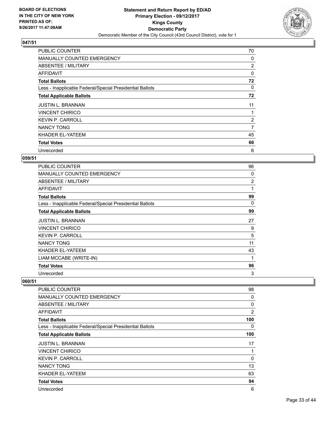

| <b>PUBLIC COUNTER</b>                                    | 70             |
|----------------------------------------------------------|----------------|
| <b>MANUALLY COUNTED EMERGENCY</b>                        | 0              |
| <b>ABSENTEE / MILITARY</b>                               | $\overline{2}$ |
| AFFIDAVIT                                                | 0              |
| <b>Total Ballots</b>                                     | 72             |
| Less - Inapplicable Federal/Special Presidential Ballots | 0              |
| <b>Total Applicable Ballots</b>                          | 72             |
| <b>JUSTIN L. BRANNAN</b>                                 | 11             |
| <b>VINCENT CHIRICO</b>                                   |                |
| <b>KEVIN P. CARROLL</b>                                  | $\overline{2}$ |
| <b>NANCY TONG</b>                                        | 7              |
| KHADER EL-YATEEM                                         | 45             |
| <b>Total Votes</b>                                       | 66             |
| Unrecorded                                               | 6              |

## **059/51**

| <b>PUBLIC COUNTER</b>                                    | 96             |
|----------------------------------------------------------|----------------|
| <b>MANUALLY COUNTED EMERGENCY</b>                        | 0              |
| ABSENTEE / MILITARY                                      | $\overline{c}$ |
| AFFIDAVIT                                                | 1              |
| <b>Total Ballots</b>                                     | 99             |
| Less - Inapplicable Federal/Special Presidential Ballots | 0              |
| <b>Total Applicable Ballots</b>                          | 99             |
| <b>JUSTIN L. BRANNAN</b>                                 | 27             |
| <b>VINCENT CHIRICO</b>                                   | 9              |
| <b>KEVIN P. CARROLL</b>                                  | 5              |
| <b>NANCY TONG</b>                                        | 11             |
| KHADER EL-YATEEM                                         | 43             |
| LIAM MCCABE (WRITE-IN)                                   | 1              |
| <b>Total Votes</b>                                       | 96             |
| Unrecorded                                               | 3              |

| PUBLIC COUNTER                                           | 98             |
|----------------------------------------------------------|----------------|
| MANUALLY COUNTED EMERGENCY                               | 0              |
| ABSENTEE / MILITARY                                      | 0              |
| <b>AFFIDAVIT</b>                                         | $\overline{2}$ |
| <b>Total Ballots</b>                                     | 100            |
| Less - Inapplicable Federal/Special Presidential Ballots | 0              |
| <b>Total Applicable Ballots</b>                          | 100            |
| <b>JUSTIN L. BRANNAN</b>                                 | 17             |
| <b>VINCENT CHIRICO</b>                                   | 1              |
| <b>KEVIN P. CARROLL</b>                                  | 0              |
| <b>NANCY TONG</b>                                        | 13             |
| KHADER EL-YATEEM                                         | 63             |
| <b>Total Votes</b>                                       | 94             |
| Unrecorded                                               | 6              |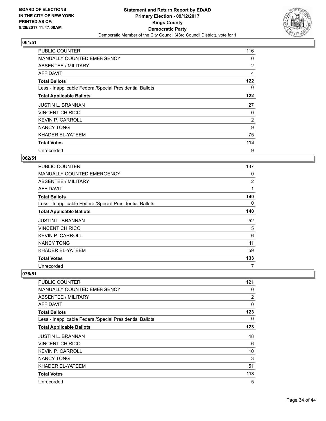

| <b>PUBLIC COUNTER</b>                                    | 116            |
|----------------------------------------------------------|----------------|
| <b>MANUALLY COUNTED EMERGENCY</b>                        | 0              |
| ABSENTEE / MILITARY                                      | $\overline{2}$ |
| AFFIDAVIT                                                | 4              |
| <b>Total Ballots</b>                                     | 122            |
| Less - Inapplicable Federal/Special Presidential Ballots | 0              |
| <b>Total Applicable Ballots</b>                          | 122            |
| <b>JUSTIN L. BRANNAN</b>                                 | 27             |
| <b>VINCENT CHIRICO</b>                                   | 0              |
| <b>KEVIN P. CARROLL</b>                                  | $\overline{2}$ |
| <b>NANCY TONG</b>                                        | 9              |
| KHADER EL-YATEEM                                         | 75             |
| <b>Total Votes</b>                                       | 113            |
| Unrecorded                                               | 9              |

## **062/51**

| <b>PUBLIC COUNTER</b>                                    | 137            |
|----------------------------------------------------------|----------------|
| <b>MANUALLY COUNTED EMERGENCY</b>                        | 0              |
| ABSENTEE / MILITARY                                      | $\overline{2}$ |
| AFFIDAVIT                                                | 1              |
| <b>Total Ballots</b>                                     | 140            |
| Less - Inapplicable Federal/Special Presidential Ballots | 0              |
| <b>Total Applicable Ballots</b>                          | 140            |
| <b>JUSTIN L. BRANNAN</b>                                 | 52             |
| <b>VINCENT CHIRICO</b>                                   | 5              |
| <b>KEVIN P. CARROLL</b>                                  | 6              |
| <b>NANCY TONG</b>                                        | 11             |
| KHADER EL-YATEEM                                         | 59             |
| <b>Total Votes</b>                                       | 133            |
|                                                          | 7              |

| <b>PUBLIC COUNTER</b>                                    | 121            |
|----------------------------------------------------------|----------------|
| <b>MANUALLY COUNTED EMERGENCY</b>                        | 0              |
| ABSENTEE / MILITARY                                      | $\overline{2}$ |
| <b>AFFIDAVIT</b>                                         | 0              |
| <b>Total Ballots</b>                                     | 123            |
| Less - Inapplicable Federal/Special Presidential Ballots | 0              |
| <b>Total Applicable Ballots</b>                          | 123            |
| <b>JUSTIN L. BRANNAN</b>                                 | 48             |
| <b>VINCENT CHIRICO</b>                                   | 6              |
| <b>KEVIN P. CARROLL</b>                                  | 10             |
| <b>NANCY TONG</b>                                        | 3              |
| KHADER EL-YATEEM                                         | 51             |
| <b>Total Votes</b>                                       | 118            |
| Unrecorded                                               | 5              |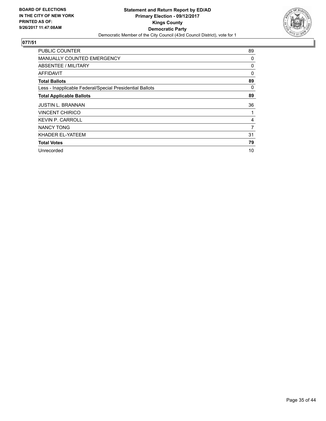

| <b>PUBLIC COUNTER</b>                                    | 89 |
|----------------------------------------------------------|----|
| <b>MANUALLY COUNTED EMERGENCY</b>                        | 0  |
| ABSENTEE / MILITARY                                      | 0  |
| AFFIDAVIT                                                | 0  |
| <b>Total Ballots</b>                                     | 89 |
| Less - Inapplicable Federal/Special Presidential Ballots | 0  |
| <b>Total Applicable Ballots</b>                          | 89 |
| <b>JUSTIN L. BRANNAN</b>                                 | 36 |
| <b>VINCENT CHIRICO</b>                                   |    |
| <b>KEVIN P. CARROLL</b>                                  | 4  |
| NANCY TONG                                               | 7  |
| KHADER EL-YATEEM                                         | 31 |
| <b>Total Votes</b>                                       | 79 |
| Unrecorded                                               | 10 |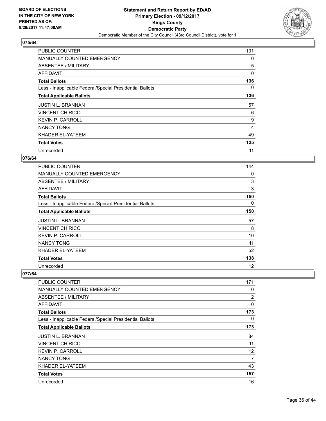

| <b>PUBLIC COUNTER</b>                                    | 131 |
|----------------------------------------------------------|-----|
| <b>MANUALLY COUNTED EMERGENCY</b>                        | 0   |
| ABSENTEE / MILITARY                                      | 5   |
| AFFIDAVIT                                                | 0   |
| <b>Total Ballots</b>                                     | 136 |
| Less - Inapplicable Federal/Special Presidential Ballots | 0   |
| <b>Total Applicable Ballots</b>                          | 136 |
| <b>JUSTIN L. BRANNAN</b>                                 | 57  |
| <b>VINCENT CHIRICO</b>                                   | 6   |
| <b>KEVIN P. CARROLL</b>                                  | 9   |
| <b>NANCY TONG</b>                                        | 4   |
| KHADER EL-YATEEM                                         | 49  |
| <b>Total Votes</b>                                       | 125 |
| Unrecorded                                               | 11  |

## **076/64**

| <b>PUBLIC COUNTER</b>                                    | 144 |
|----------------------------------------------------------|-----|
| <b>MANUALLY COUNTED EMERGENCY</b>                        | 0   |
| ABSENTEE / MILITARY                                      | 3   |
| <b>AFFIDAVIT</b>                                         | 3   |
| <b>Total Ballots</b>                                     | 150 |
| Less - Inapplicable Federal/Special Presidential Ballots | 0   |
| <b>Total Applicable Ballots</b>                          | 150 |
| <b>JUSTIN L. BRANNAN</b>                                 | 57  |
| <b>VINCENT CHIRICO</b>                                   | 8   |
| <b>KEVIN P. CARROLL</b>                                  | 10  |
| <b>NANCY TONG</b>                                        | 11  |
| KHADER EL-YATEEM                                         | 52  |
| <b>Total Votes</b>                                       | 138 |
| Unrecorded                                               | 12  |

| <b>PUBLIC COUNTER</b>                                    | 171            |
|----------------------------------------------------------|----------------|
| <b>MANUALLY COUNTED EMERGENCY</b>                        | 0              |
|                                                          |                |
| <b>ABSENTEE / MILITARY</b>                               | $\overline{2}$ |
| <b>AFFIDAVIT</b>                                         | $\Omega$       |
| <b>Total Ballots</b>                                     | 173            |
| Less - Inapplicable Federal/Special Presidential Ballots | 0              |
| <b>Total Applicable Ballots</b>                          | 173            |
| <b>JUSTIN L. BRANNAN</b>                                 | 84             |
| <b>VINCENT CHIRICO</b>                                   | 11             |
| <b>KEVIN P. CARROLL</b>                                  | 12             |
| <b>NANCY TONG</b>                                        | 7              |
| KHADER EL-YATEEM                                         | 43             |
| <b>Total Votes</b>                                       | 157            |
| Unrecorded                                               | 16             |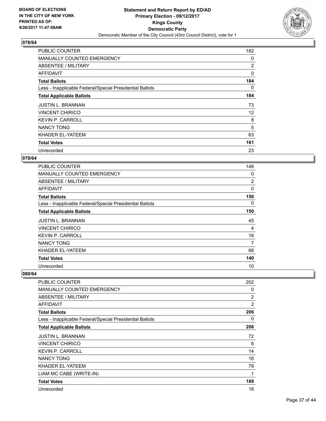

| <b>PUBLIC COUNTER</b>                                    | 182 |
|----------------------------------------------------------|-----|
| <b>MANUALLY COUNTED EMERGENCY</b>                        | 0   |
| ABSENTEE / MILITARY                                      | 2   |
| AFFIDAVIT                                                | 0   |
| <b>Total Ballots</b>                                     | 184 |
| Less - Inapplicable Federal/Special Presidential Ballots | 0   |
| <b>Total Applicable Ballots</b>                          | 184 |
| <b>JUSTIN L. BRANNAN</b>                                 | 73  |
| <b>VINCENT CHIRICO</b>                                   | 12  |
| <b>KEVIN P. CARROLL</b>                                  | 8   |
| <b>NANCY TONG</b>                                        | 5   |
| KHADER EL-YATEEM                                         | 63  |
| <b>Total Votes</b>                                       | 161 |
| Unrecorded                                               | 23  |

## **079/64**

| <b>PUBLIC COUNTER</b>                                    | 148 |
|----------------------------------------------------------|-----|
| <b>MANUALLY COUNTED EMERGENCY</b>                        | 0   |
| <b>ABSENTEE / MILITARY</b>                               | 2   |
| AFFIDAVIT                                                | 0   |
| <b>Total Ballots</b>                                     | 150 |
| Less - Inapplicable Federal/Special Presidential Ballots | 0   |
| <b>Total Applicable Ballots</b>                          | 150 |
| <b>JUSTIN L. BRANNAN</b>                                 | 45  |
| <b>VINCENT CHIRICO</b>                                   | 4   |
| <b>KEVIN P. CARROLL</b>                                  | 16  |
| NANCY TONG                                               | 7   |
| KHADER EL-YATEEM                                         | 68  |
| <b>Total Votes</b>                                       | 140 |
| Unrecorded                                               | 10  |

| PUBLIC COUNTER                                           | 202 |
|----------------------------------------------------------|-----|
| <b>MANUALLY COUNTED EMERGENCY</b>                        | 0   |
| ABSENTEE / MILITARY                                      | 2   |
| AFFIDAVIT                                                | 2   |
| <b>Total Ballots</b>                                     | 206 |
| Less - Inapplicable Federal/Special Presidential Ballots | 0   |
| <b>Total Applicable Ballots</b>                          | 206 |
| <b>JUSTIN L. BRANNAN</b>                                 | 72  |
| <b>VINCENT CHIRICO</b>                                   | 6   |
| <b>KEVIN P. CARROLL</b>                                  | 14  |
| <b>NANCY TONG</b>                                        | 16  |
| KHADER EL-YATEEM                                         | 79  |
| LIAM MC CABE (WRITE-IN)                                  | 1   |
| <b>Total Votes</b>                                       | 188 |
| Unrecorded                                               | 18  |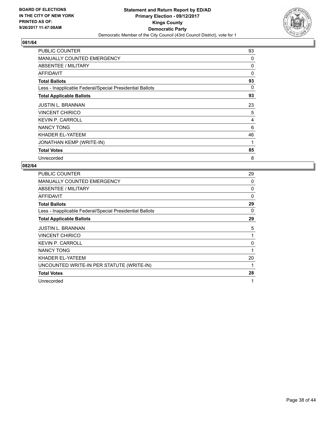

| PUBLIC COUNTER                                           | 93 |
|----------------------------------------------------------|----|
| <b>MANUALLY COUNTED EMERGENCY</b>                        | 0  |
| ABSENTEE / MILITARY                                      | 0  |
| AFFIDAVIT                                                | 0  |
| <b>Total Ballots</b>                                     | 93 |
| Less - Inapplicable Federal/Special Presidential Ballots | 0  |
| <b>Total Applicable Ballots</b>                          | 93 |
| <b>JUSTIN L. BRANNAN</b>                                 | 23 |
| <b>VINCENT CHIRICO</b>                                   | 5  |
| <b>KEVIN P. CARROLL</b>                                  | 4  |
| <b>NANCY TONG</b>                                        | 6  |
| KHADER EL-YATEEM                                         | 46 |
| JONATHAN KEMP (WRITE-IN)                                 | 1  |
| <b>Total Votes</b>                                       | 85 |
| Unrecorded                                               | 8  |

| <b>PUBLIC COUNTER</b>                                    | 29       |
|----------------------------------------------------------|----------|
| <b>MANUALLY COUNTED EMERGENCY</b>                        | 0        |
| ABSENTEE / MILITARY                                      | 0        |
| AFFIDAVIT                                                | $\Omega$ |
| <b>Total Ballots</b>                                     | 29       |
| Less - Inapplicable Federal/Special Presidential Ballots | 0        |
| <b>Total Applicable Ballots</b>                          | 29       |
| <b>JUSTIN L. BRANNAN</b>                                 | 5        |
| <b>VINCENT CHIRICO</b>                                   | 1        |
| <b>KEVIN P. CARROLL</b>                                  | 0        |
| <b>NANCY TONG</b>                                        | 1        |
| KHADER EL-YATEEM                                         | 20       |
| UNCOUNTED WRITE-IN PER STATUTE (WRITE-IN)                | 1        |
| <b>Total Votes</b>                                       | 28       |
| Unrecorded                                               | 1        |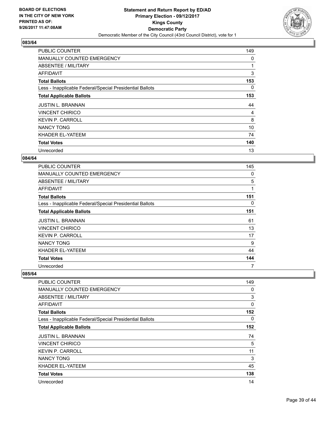

| <b>PUBLIC COUNTER</b>                                    | 149 |
|----------------------------------------------------------|-----|
| <b>MANUALLY COUNTED EMERGENCY</b>                        | 0   |
| ABSENTEE / MILITARY                                      | 1   |
| AFFIDAVIT                                                | 3   |
| <b>Total Ballots</b>                                     | 153 |
| Less - Inapplicable Federal/Special Presidential Ballots | 0   |
| <b>Total Applicable Ballots</b>                          | 153 |
| <b>JUSTIN L. BRANNAN</b>                                 | 44  |
| <b>VINCENT CHIRICO</b>                                   | 4   |
| <b>KEVIN P. CARROLL</b>                                  | 8   |
| <b>NANCY TONG</b>                                        | 10  |
| KHADER EL-YATEEM                                         | 74  |
| <b>Total Votes</b>                                       | 140 |
| Unrecorded                                               | 13  |

## **084/64**

| <b>PUBLIC COUNTER</b>                                    | 145 |
|----------------------------------------------------------|-----|
| <b>MANUALLY COUNTED EMERGENCY</b>                        | 0   |
| ABSENTEE / MILITARY                                      | 5   |
| <b>AFFIDAVIT</b>                                         | 1   |
| <b>Total Ballots</b>                                     | 151 |
| Less - Inapplicable Federal/Special Presidential Ballots | 0   |
| <b>Total Applicable Ballots</b>                          | 151 |
| <b>JUSTIN L. BRANNAN</b>                                 | 61  |
| <b>VINCENT CHIRICO</b>                                   | 13  |
| <b>KEVIN P. CARROLL</b>                                  | 17  |
| <b>NANCY TONG</b>                                        | 9   |
| KHADER EL-YATEEM                                         | 44  |
| <b>Total Votes</b>                                       | 144 |
| Unrecorded                                               | 7   |

| <b>PUBLIC COUNTER</b>                                    | 149 |
|----------------------------------------------------------|-----|
| <b>MANUALLY COUNTED EMERGENCY</b>                        | 0   |
| <b>ABSENTEE / MILITARY</b>                               | 3   |
| <b>AFFIDAVIT</b>                                         | 0   |
| <b>Total Ballots</b>                                     | 152 |
| Less - Inapplicable Federal/Special Presidential Ballots | 0   |
| <b>Total Applicable Ballots</b>                          | 152 |
| <b>JUSTIN L. BRANNAN</b>                                 | 74  |
| <b>VINCENT CHIRICO</b>                                   | 5   |
| <b>KEVIN P. CARROLL</b>                                  | 11  |
| <b>NANCY TONG</b>                                        | 3   |
| KHADER EL-YATEEM                                         | 45  |
| <b>Total Votes</b>                                       | 138 |
| Unrecorded                                               | 14  |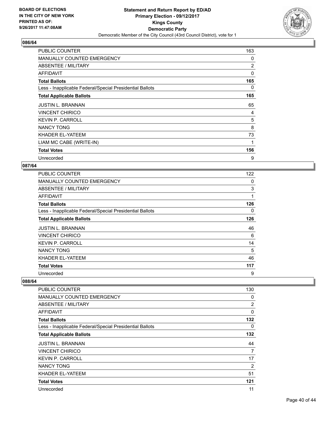

| <b>PUBLIC COUNTER</b>                                    | 163 |
|----------------------------------------------------------|-----|
| <b>MANUALLY COUNTED EMERGENCY</b>                        | 0   |
| ABSENTEE / MILITARY                                      | 2   |
| AFFIDAVIT                                                | 0   |
| <b>Total Ballots</b>                                     | 165 |
| Less - Inapplicable Federal/Special Presidential Ballots | 0   |
| <b>Total Applicable Ballots</b>                          | 165 |
| <b>JUSTIN L. BRANNAN</b>                                 | 65  |
| <b>VINCENT CHIRICO</b>                                   | 4   |
| <b>KEVIN P. CARROLL</b>                                  | 5   |
| <b>NANCY TONG</b>                                        | 8   |
| KHADER EL-YATEEM                                         | 73  |
| LIAM MC CABE (WRITE-IN)                                  | 1   |
| <b>Total Votes</b>                                       | 156 |
| Unrecorded                                               | 9   |

#### **087/64**

| <b>PUBLIC COUNTER</b>                                    | 122 |
|----------------------------------------------------------|-----|
| <b>MANUALLY COUNTED EMERGENCY</b>                        | 0   |
| ABSENTEE / MILITARY                                      | 3   |
| AFFIDAVIT                                                | 1   |
| <b>Total Ballots</b>                                     | 126 |
| Less - Inapplicable Federal/Special Presidential Ballots | 0   |
| <b>Total Applicable Ballots</b>                          | 126 |
| <b>JUSTIN L. BRANNAN</b>                                 | 46  |
| <b>VINCENT CHIRICO</b>                                   | 6   |
| <b>KEVIN P. CARROLL</b>                                  | 14  |
| <b>NANCY TONG</b>                                        | 5   |
| KHADER EL-YATEEM                                         | 46  |
| <b>Total Votes</b>                                       | 117 |
| Unrecorded                                               | 9   |

| PUBLIC COUNTER                                           | 130            |
|----------------------------------------------------------|----------------|
| <b>MANUALLY COUNTED EMERGENCY</b>                        | 0              |
| ABSENTEE / MILITARY                                      | $\overline{2}$ |
| AFFIDAVIT                                                | 0              |
| <b>Total Ballots</b>                                     | 132            |
| Less - Inapplicable Federal/Special Presidential Ballots | 0              |
| <b>Total Applicable Ballots</b>                          | 132            |
| <b>JUSTIN L. BRANNAN</b>                                 | 44             |
| <b>VINCENT CHIRICO</b>                                   | 7              |
| <b>KEVIN P. CARROLL</b>                                  | 17             |
| <b>NANCY TONG</b>                                        | 2              |
| KHADER EL-YATEEM                                         | 51             |
| <b>Total Votes</b>                                       | 121            |
| Unrecorded                                               | 11             |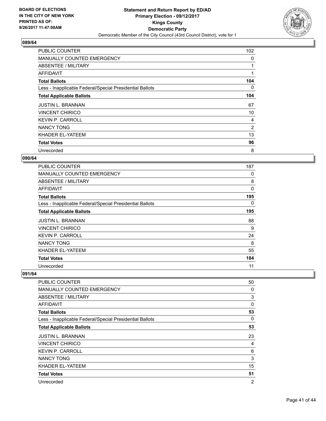

| <b>PUBLIC COUNTER</b>                                    | 102 |
|----------------------------------------------------------|-----|
| <b>MANUALLY COUNTED EMERGENCY</b>                        | 0   |
| ABSENTEE / MILITARY                                      |     |
| AFFIDAVIT                                                | 1   |
| <b>Total Ballots</b>                                     | 104 |
| Less - Inapplicable Federal/Special Presidential Ballots | 0   |
| <b>Total Applicable Ballots</b>                          | 104 |
| <b>JUSTIN L. BRANNAN</b>                                 | 67  |
| <b>VINCENT CHIRICO</b>                                   | 10  |
| <b>KEVIN P. CARROLL</b>                                  | 4   |
| <b>NANCY TONG</b>                                        | 2   |
| KHADER EL-YATEEM                                         | 13  |
| <b>Total Votes</b>                                       | 96  |
| Unrecorded                                               | 8   |

## **090/64**

| <b>PUBLIC COUNTER</b>                                    | 187         |
|----------------------------------------------------------|-------------|
| <b>MANUALLY COUNTED EMERGENCY</b>                        | 0           |
| ABSENTEE / MILITARY                                      | 8           |
| <b>AFFIDAVIT</b>                                         | $\mathbf 0$ |
| <b>Total Ballots</b>                                     | 195         |
| Less - Inapplicable Federal/Special Presidential Ballots | 0           |
| <b>Total Applicable Ballots</b>                          | 195         |
| <b>JUSTIN L. BRANNAN</b>                                 | 88          |
| <b>VINCENT CHIRICO</b>                                   | 9           |
| <b>KEVIN P. CARROLL</b>                                  | 24          |
| <b>NANCY TONG</b>                                        | 8           |
| KHADER EL-YATEEM                                         | 55          |
| <b>Total Votes</b>                                       | 184         |
| Unrecorded                                               | 11          |

| <b>PUBLIC COUNTER</b>                                    | 50             |
|----------------------------------------------------------|----------------|
| <b>MANUALLY COUNTED EMERGENCY</b>                        | 0              |
| <b>ABSENTEE / MILITARY</b>                               | 3              |
| <b>AFFIDAVIT</b>                                         | 0              |
| <b>Total Ballots</b>                                     | 53             |
| Less - Inapplicable Federal/Special Presidential Ballots | 0              |
| <b>Total Applicable Ballots</b>                          | 53             |
| <b>JUSTIN L. BRANNAN</b>                                 | 23             |
| <b>VINCENT CHIRICO</b>                                   | 4              |
| <b>KEVIN P. CARROLL</b>                                  | 6              |
| <b>NANCY TONG</b>                                        | 3              |
| KHADER EL-YATEEM                                         | 15             |
| <b>Total Votes</b>                                       | 51             |
| Unrecorded                                               | $\overline{2}$ |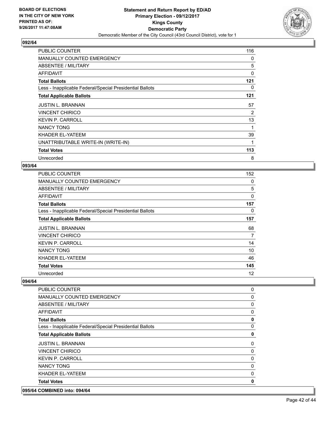

| <b>PUBLIC COUNTER</b>                                    | 116 |
|----------------------------------------------------------|-----|
| <b>MANUALLY COUNTED EMERGENCY</b>                        | 0   |
| ABSENTEE / MILITARY                                      | 5   |
| AFFIDAVIT                                                | 0   |
| <b>Total Ballots</b>                                     | 121 |
| Less - Inapplicable Federal/Special Presidential Ballots | 0   |
| <b>Total Applicable Ballots</b>                          | 121 |
| <b>JUSTIN L. BRANNAN</b>                                 | 57  |
| <b>VINCENT CHIRICO</b>                                   | 2   |
| <b>KEVIN P. CARROLL</b>                                  | 13  |
| <b>NANCY TONG</b>                                        | 1   |
| KHADER EL-YATEEM                                         | 39  |
| UNATTRIBUTABLE WRITE-IN (WRITE-IN)                       | 1   |
| <b>Total Votes</b>                                       | 113 |
| Unrecorded                                               | 8   |

#### **093/64**

| PUBLIC COUNTER                                           | 152 |
|----------------------------------------------------------|-----|
| MANUALLY COUNTED EMERGENCY                               | 0   |
| ABSENTEE / MILITARY                                      | 5   |
| AFFIDAVIT                                                | 0   |
| <b>Total Ballots</b>                                     | 157 |
| Less - Inapplicable Federal/Special Presidential Ballots | 0   |
| <b>Total Applicable Ballots</b>                          | 157 |
| <b>JUSTIN L. BRANNAN</b>                                 | 68  |
| <b>VINCENT CHIRICO</b>                                   | 7   |
| <b>KEVIN P. CARROLL</b>                                  | 14  |
| <b>NANCY TONG</b>                                        | 10  |
| KHADER EL-YATEEM                                         | 46  |
| <b>Total Votes</b>                                       | 145 |
| Unrecorded                                               | 12  |

#### **094/64**

| <b>PUBLIC COUNTER</b>                                    | 0        |
|----------------------------------------------------------|----------|
| <b>MANUALLY COUNTED EMERGENCY</b>                        | 0        |
| ABSENTEE / MILITARY                                      | 0        |
| AFFIDAVIT                                                | 0        |
| <b>Total Ballots</b>                                     | 0        |
| Less - Inapplicable Federal/Special Presidential Ballots | 0        |
| <b>Total Applicable Ballots</b>                          | 0        |
| <b>JUSTIN L. BRANNAN</b>                                 | 0        |
| <b>VINCENT CHIRICO</b>                                   | 0        |
| <b>KEVIN P. CARROLL</b>                                  | 0        |
| <b>NANCY TONG</b>                                        | 0        |
| KHADER EL-YATEEM                                         | 0        |
| <b>Total Votes</b>                                       | $\bf{0}$ |

## **095/64 COMBINED into: 094/64**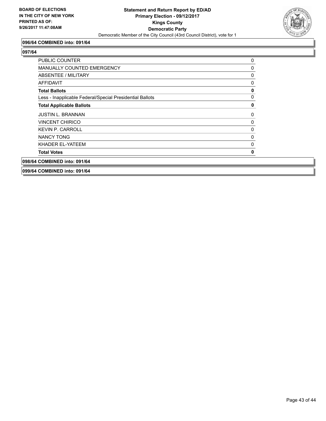

#### **096/64 COMBINED into: 091/64**

#### **097/64**

| <b>PUBLIC COUNTER</b>                                    | 0            |
|----------------------------------------------------------|--------------|
| <b>MANUALLY COUNTED EMERGENCY</b>                        | 0            |
| ABSENTEE / MILITARY                                      | 0            |
| <b>AFFIDAVIT</b>                                         | 0            |
| <b>Total Ballots</b>                                     | $\mathbf 0$  |
| Less - Inapplicable Federal/Special Presidential Ballots | $\mathbf{0}$ |
| <b>Total Applicable Ballots</b>                          | $\mathbf 0$  |
| <b>JUSTIN L. BRANNAN</b>                                 | 0            |
| <b>VINCENT CHIRICO</b>                                   | $\mathbf{0}$ |
| <b>KEVIN P. CARROLL</b>                                  | 0            |
| NANCY TONG                                               | $\mathbf{0}$ |
| KHADER EL-YATEEM                                         | 0            |
| <b>Total Votes</b>                                       | $\mathbf 0$  |
| 098/64 COMBINED into: 091/64                             |              |

**099/64 COMBINED into: 091/64**